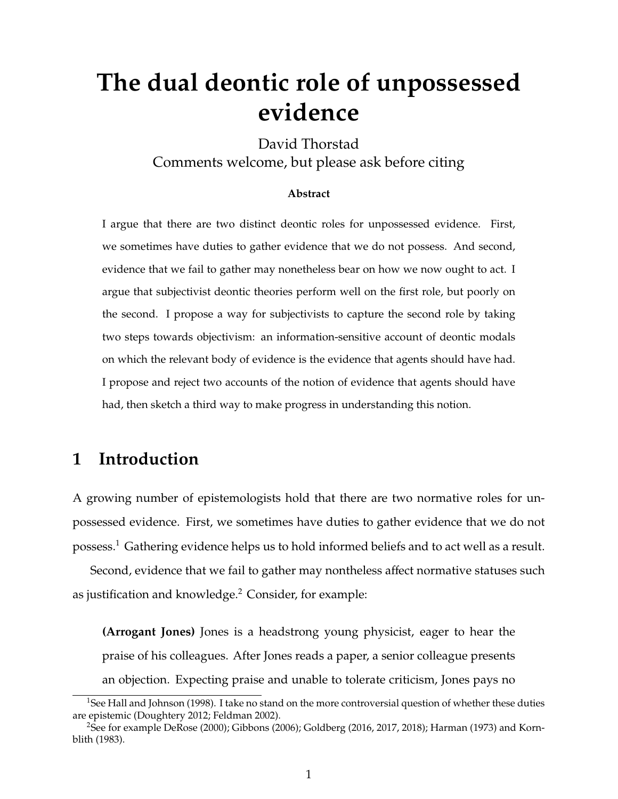# **The dual deontic role of unpossessed evidence**

David Thorstad Comments welcome, but please ask before citing

#### **Abstract**

I argue that there are two distinct deontic roles for unpossessed evidence. First, we sometimes have duties to gather evidence that we do not possess. And second, evidence that we fail to gather may nonetheless bear on how we now ought to act. I argue that subjectivist deontic theories perform well on the first role, but poorly on the second. I propose a way for subjectivists to capture the second role by taking two steps towards objectivism: an information-sensitive account of deontic modals on which the relevant body of evidence is the evidence that agents should have had. I propose and reject two accounts of the notion of evidence that agents should have had, then sketch a third way to make progress in understanding this notion.

### **1 Introduction**

A growing number of epistemologists hold that there are two normative roles for unpossessed evidence. First, we sometimes have duties to gather evidence that we do not possess.<sup>1</sup> Gathering evidence helps us to hold informed beliefs and to act well as a result.

Second, evidence that we fail to gather may nontheless affect normative statuses such as justification and knowledge.<sup>2</sup> Consider, for example:

**(Arrogant Jones)** Jones is a headstrong young physicist, eager to hear the praise of his colleagues. After Jones reads a paper, a senior colleague presents an objection. Expecting praise and unable to tolerate criticism, Jones pays no

<sup>&</sup>lt;sup>1</sup>See Hall and Johnson (1998). I take no stand on the more controversial question of whether these duties are epistemic (Doughtery 2012; Feldman 2002).

<sup>&</sup>lt;sup>2</sup>See for example DeRose (2000); Gibbons (2006); Goldberg (2016, 2017, 2018); Harman (1973) and Kornblith (1983).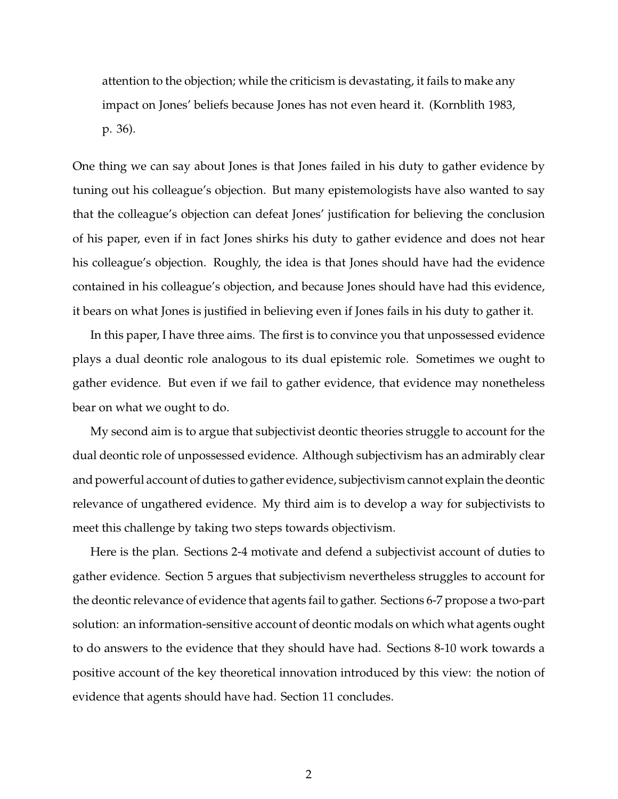attention to the objection; while the criticism is devastating, it fails to make any impact on Jones' beliefs because Jones has not even heard it. (Kornblith 1983, p. 36).

One thing we can say about Jones is that Jones failed in his duty to gather evidence by tuning out his colleague's objection. But many epistemologists have also wanted to say that the colleague's objection can defeat Jones' justification for believing the conclusion of his paper, even if in fact Jones shirks his duty to gather evidence and does not hear his colleague's objection. Roughly, the idea is that Jones should have had the evidence contained in his colleague's objection, and because Jones should have had this evidence, it bears on what Jones is justified in believing even if Jones fails in his duty to gather it.

In this paper, I have three aims. The first is to convince you that unpossessed evidence plays a dual deontic role analogous to its dual epistemic role. Sometimes we ought to gather evidence. But even if we fail to gather evidence, that evidence may nonetheless bear on what we ought to do.

My second aim is to argue that subjectivist deontic theories struggle to account for the dual deontic role of unpossessed evidence. Although subjectivism has an admirably clear and powerful account of duties to gather evidence, subjectivism cannot explain the deontic relevance of ungathered evidence. My third aim is to develop a way for subjectivists to meet this challenge by taking two steps towards objectivism.

Here is the plan. Sections 2-4 motivate and defend a subjectivist account of duties to gather evidence. Section 5 argues that subjectivism nevertheless struggles to account for the deontic relevance of evidence that agents fail to gather. Sections 6-7 propose a two-part solution: an information-sensitive account of deontic modals on which what agents ought to do answers to the evidence that they should have had. Sections 8-10 work towards a positive account of the key theoretical innovation introduced by this view: the notion of evidence that agents should have had. Section 11 concludes.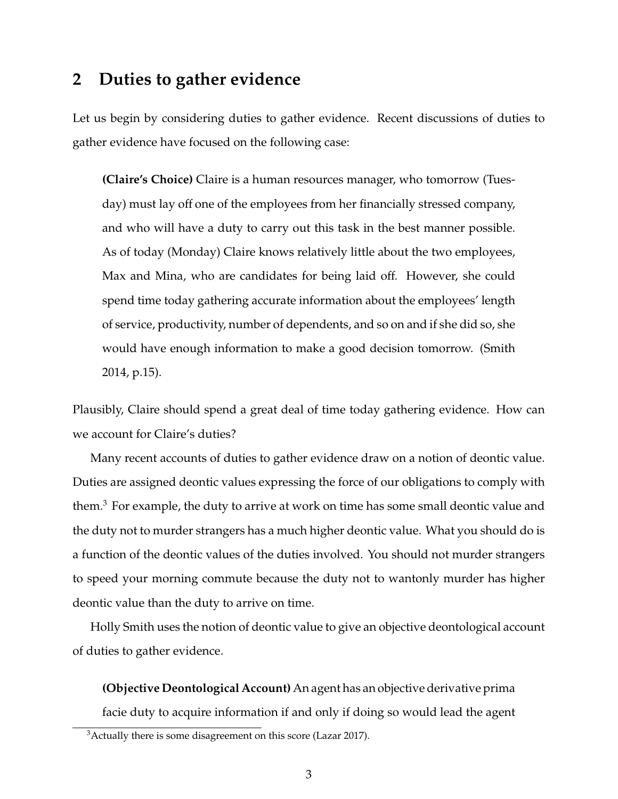### **2 Duties to gather evidence**

Let us begin by considering duties to gather evidence. Recent discussions of duties to gather evidence have focused on the following case:

**(Claire's Choice)** Claire is a human resources manager, who tomorrow (Tuesday) must lay off one of the employees from her financially stressed company, and who will have a duty to carry out this task in the best manner possible. As of today (Monday) Claire knows relatively little about the two employees, Max and Mina, who are candidates for being laid off. However, she could spend time today gathering accurate information about the employees' length of service, productivity, number of dependents, and so on and if she did so, she would have enough information to make a good decision tomorrow. (Smith 2014, p.15).

Plausibly, Claire should spend a great deal of time today gathering evidence. How can we account for Claire's duties?

Many recent accounts of duties to gather evidence draw on a notion of deontic value. Duties are assigned deontic values expressing the force of our obligations to comply with them. $3$  For example, the duty to arrive at work on time has some small deontic value and the duty not to murder strangers has a much higher deontic value. What you should do is a function of the deontic values of the duties involved. You should not murder strangers to speed your morning commute because the duty not to wantonly murder has higher deontic value than the duty to arrive on time.

Holly Smith uses the notion of deontic value to give an objective deontological account of duties to gather evidence.

**(Objective Deontological Account)** An agent has an objective derivative prima facie duty to acquire information if and only if doing so would lead the agent

 $3$ Actually there is some disagreement on this score (Lazar 2017).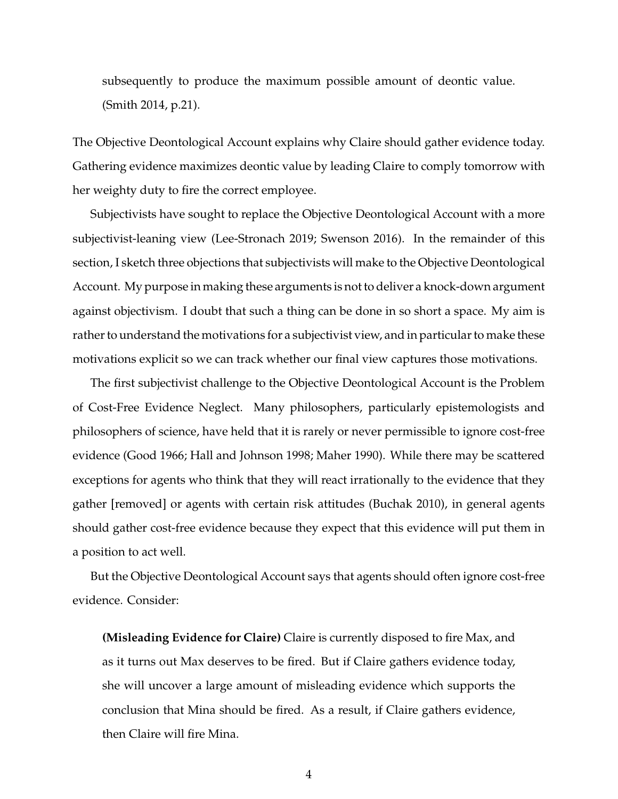subsequently to produce the maximum possible amount of deontic value. (Smith 2014, p.21).

The Objective Deontological Account explains why Claire should gather evidence today. Gathering evidence maximizes deontic value by leading Claire to comply tomorrow with her weighty duty to fire the correct employee.

Subjectivists have sought to replace the Objective Deontological Account with a more subjectivist-leaning view (Lee-Stronach 2019; Swenson 2016). In the remainder of this section, I sketch three objections that subjectivists will make to the Objective Deontological Account. My purpose in making these arguments is not to deliver a knock-down argument against objectivism. I doubt that such a thing can be done in so short a space. My aim is rather to understand the motivations for a subjectivist view, and in particular to make these motivations explicit so we can track whether our final view captures those motivations.

The first subjectivist challenge to the Objective Deontological Account is the Problem of Cost-Free Evidence Neglect. Many philosophers, particularly epistemologists and philosophers of science, have held that it is rarely or never permissible to ignore cost-free evidence (Good 1966; Hall and Johnson 1998; Maher 1990). While there may be scattered exceptions for agents who think that they will react irrationally to the evidence that they gather [removed] or agents with certain risk attitudes (Buchak 2010), in general agents should gather cost-free evidence because they expect that this evidence will put them in a position to act well.

But the Objective Deontological Account says that agents should often ignore cost-free evidence. Consider:

**(Misleading Evidence for Claire)** Claire is currently disposed to fire Max, and as it turns out Max deserves to be fired. But if Claire gathers evidence today, she will uncover a large amount of misleading evidence which supports the conclusion that Mina should be fired. As a result, if Claire gathers evidence, then Claire will fire Mina.

4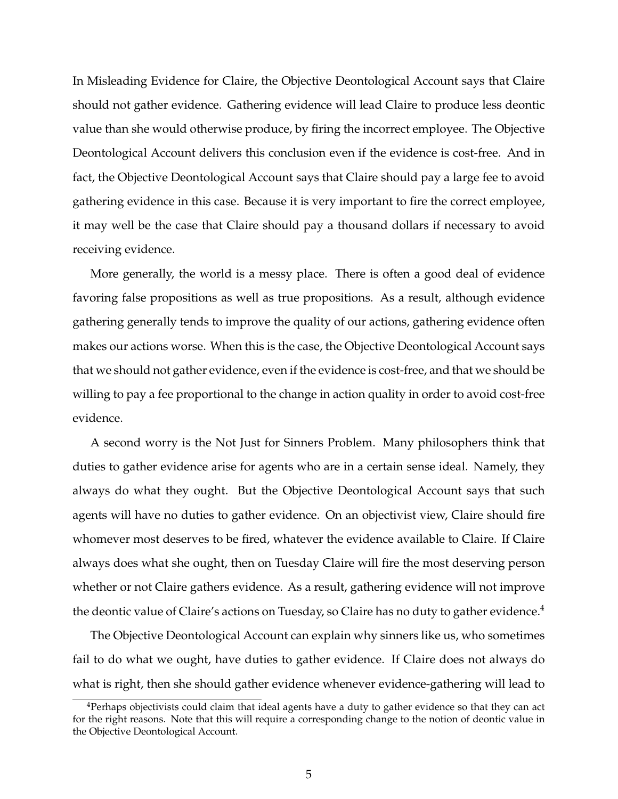In Misleading Evidence for Claire, the Objective Deontological Account says that Claire should not gather evidence. Gathering evidence will lead Claire to produce less deontic value than she would otherwise produce, by firing the incorrect employee. The Objective Deontological Account delivers this conclusion even if the evidence is cost-free. And in fact, the Objective Deontological Account says that Claire should pay a large fee to avoid gathering evidence in this case. Because it is very important to fire the correct employee, it may well be the case that Claire should pay a thousand dollars if necessary to avoid receiving evidence.

More generally, the world is a messy place. There is often a good deal of evidence favoring false propositions as well as true propositions. As a result, although evidence gathering generally tends to improve the quality of our actions, gathering evidence often makes our actions worse. When this is the case, the Objective Deontological Account says that we should not gather evidence, even if the evidence is cost-free, and that we should be willing to pay a fee proportional to the change in action quality in order to avoid cost-free evidence.

A second worry is the Not Just for Sinners Problem. Many philosophers think that duties to gather evidence arise for agents who are in a certain sense ideal. Namely, they always do what they ought. But the Objective Deontological Account says that such agents will have no duties to gather evidence. On an objectivist view, Claire should fire whomever most deserves to be fired, whatever the evidence available to Claire. If Claire always does what she ought, then on Tuesday Claire will fire the most deserving person whether or not Claire gathers evidence. As a result, gathering evidence will not improve the deontic value of Claire's actions on Tuesday, so Claire has no duty to gather evidence.<sup>4</sup>

The Objective Deontological Account can explain why sinners like us, who sometimes fail to do what we ought, have duties to gather evidence. If Claire does not always do what is right, then she should gather evidence whenever evidence-gathering will lead to

<sup>4</sup>Perhaps objectivists could claim that ideal agents have a duty to gather evidence so that they can act for the right reasons. Note that this will require a corresponding change to the notion of deontic value in the Objective Deontological Account.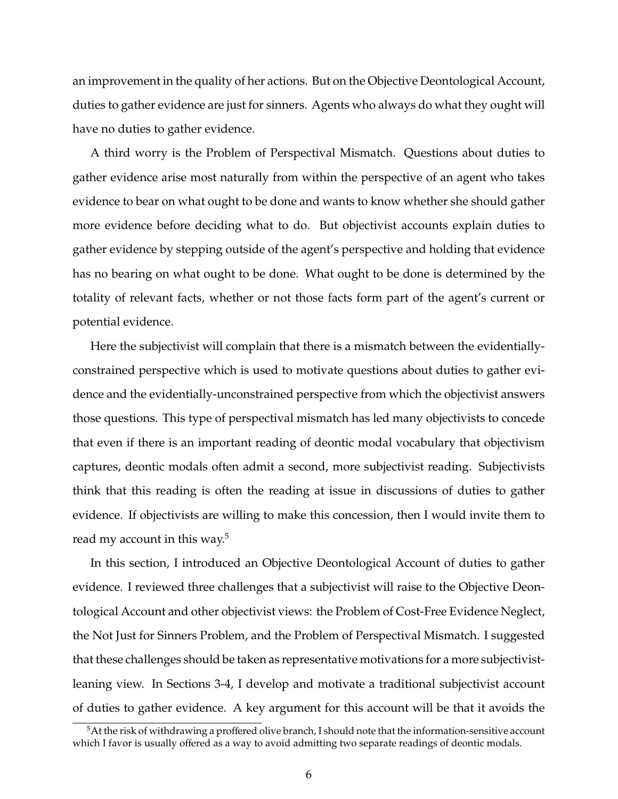an improvement in the quality of her actions. But on the Objective Deontological Account, duties to gather evidence are just for sinners. Agents who always do what they ought will have no duties to gather evidence.

A third worry is the Problem of Perspectival Mismatch. Questions about duties to gather evidence arise most naturally from within the perspective of an agent who takes evidence to bear on what ought to be done and wants to know whether she should gather more evidence before deciding what to do. But objectivist accounts explain duties to gather evidence by stepping outside of the agent's perspective and holding that evidence has no bearing on what ought to be done. What ought to be done is determined by the totality of relevant facts, whether or not those facts form part of the agent's current or potential evidence.

Here the subjectivist will complain that there is a mismatch between the evidentiallyconstrained perspective which is used to motivate questions about duties to gather evidence and the evidentially-unconstrained perspective from which the objectivist answers those questions. This type of perspectival mismatch has led many objectivists to concede that even if there is an important reading of deontic modal vocabulary that objectivism captures, deontic modals often admit a second, more subjectivist reading. Subjectivists think that this reading is often the reading at issue in discussions of duties to gather evidence. If objectivists are willing to make this concession, then I would invite them to read my account in this way.<sup>5</sup>

In this section, I introduced an Objective Deontological Account of duties to gather evidence. I reviewed three challenges that a subjectivist will raise to the Objective Deontological Account and other objectivist views: the Problem of Cost-Free Evidence Neglect, the Not Just for Sinners Problem, and the Problem of Perspectival Mismatch. I suggested that these challenges should be taken as representative motivations for a more subjectivistleaning view. In Sections 3-4, I develop and motivate a traditional subjectivist account of duties to gather evidence. A key argument for this account will be that it avoids the

 $5$ At the risk of withdrawing a proffered olive branch, I should note that the information-sensitive account which I favor is usually offered as a way to avoid admitting two separate readings of deontic modals.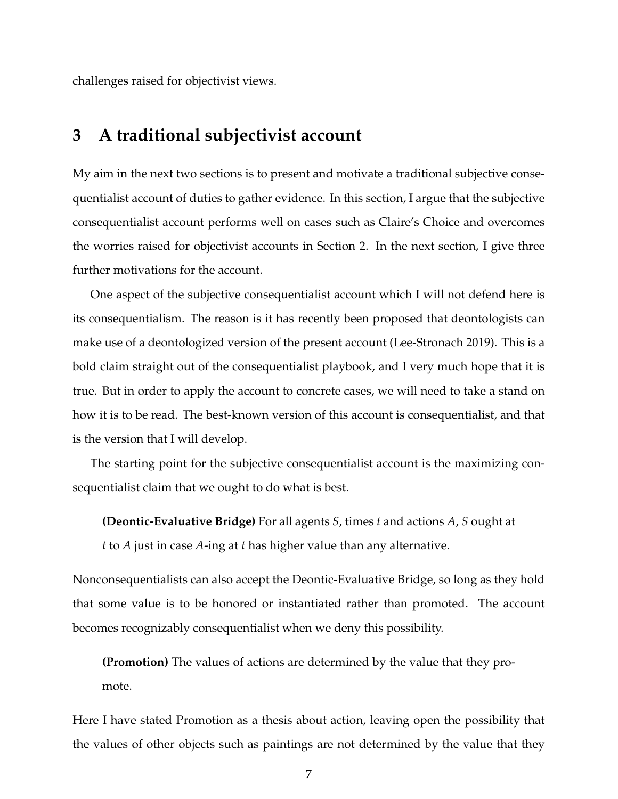challenges raised for objectivist views.

### **3 A traditional subjectivist account**

My aim in the next two sections is to present and motivate a traditional subjective consequentialist account of duties to gather evidence. In this section, I argue that the subjective consequentialist account performs well on cases such as Claire's Choice and overcomes the worries raised for objectivist accounts in Section 2. In the next section, I give three further motivations for the account.

One aspect of the subjective consequentialist account which I will not defend here is its consequentialism. The reason is it has recently been proposed that deontologists can make use of a deontologized version of the present account (Lee-Stronach 2019). This is a bold claim straight out of the consequentialist playbook, and I very much hope that it is true. But in order to apply the account to concrete cases, we will need to take a stand on how it is to be read. The best-known version of this account is consequentialist, and that is the version that I will develop.

The starting point for the subjective consequentialist account is the maximizing consequentialist claim that we ought to do what is best.

**(Deontic-Evaluative Bridge)** For all agents *S*, times *t* and actions *A*, *S* ought at

*t* to *A* just in case *A*-ing at *t* has higher value than any alternative.

Nonconsequentialists can also accept the Deontic-Evaluative Bridge, so long as they hold that some value is to be honored or instantiated rather than promoted. The account becomes recognizably consequentialist when we deny this possibility.

**(Promotion)** The values of actions are determined by the value that they pro-

mote.

Here I have stated Promotion as a thesis about action, leaving open the possibility that the values of other objects such as paintings are not determined by the value that they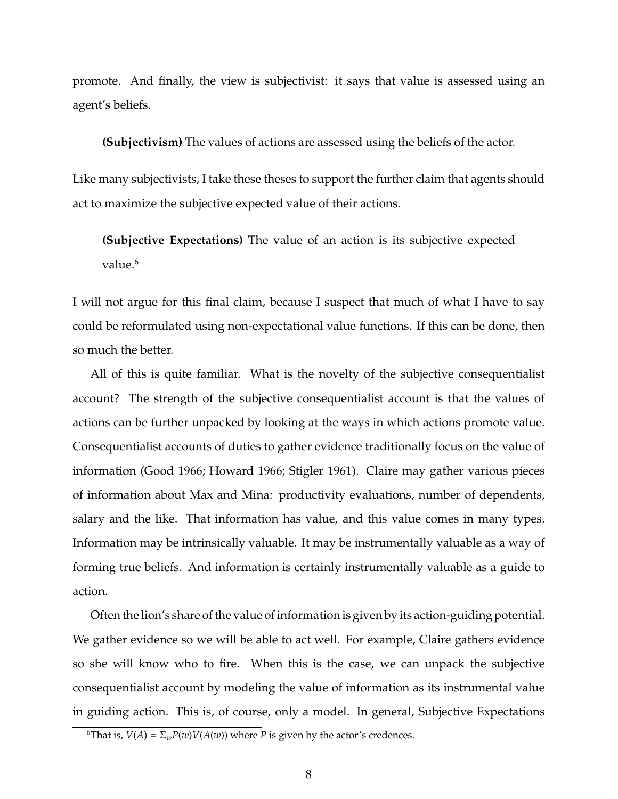promote. And finally, the view is subjectivist: it says that value is assessed using an agent's beliefs.

**(Subjectivism)** The values of actions are assessed using the beliefs of the actor.

Like many subjectivists, I take these theses to support the further claim that agents should act to maximize the subjective expected value of their actions.

**(Subjective Expectations)** The value of an action is its subjective expected value $6$ 

I will not argue for this final claim, because I suspect that much of what I have to say could be reformulated using non-expectational value functions. If this can be done, then so much the better.

All of this is quite familiar. What is the novelty of the subjective consequentialist account? The strength of the subjective consequentialist account is that the values of actions can be further unpacked by looking at the ways in which actions promote value. Consequentialist accounts of duties to gather evidence traditionally focus on the value of information (Good 1966; Howard 1966; Stigler 1961). Claire may gather various pieces of information about Max and Mina: productivity evaluations, number of dependents, salary and the like. That information has value, and this value comes in many types. Information may be intrinsically valuable. It may be instrumentally valuable as a way of forming true beliefs. And information is certainly instrumentally valuable as a guide to action.

Often the lion's share of the value of information is given by its action-guiding potential. We gather evidence so we will be able to act well. For example, Claire gathers evidence so she will know who to fire. When this is the case, we can unpack the subjective consequentialist account by modeling the value of information as its instrumental value in guiding action. This is, of course, only a model. In general, Subjective Expectations

<sup>&</sup>lt;sup>6</sup>That is, *V*(*A*) =  $\Sigma_w P(w) V(A(w))$  where *P* is given by the actor's credences.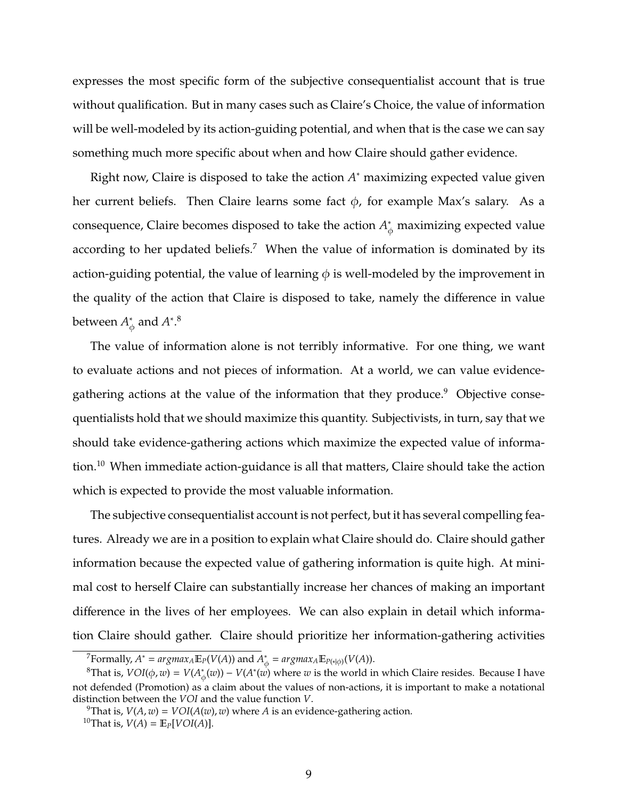expresses the most specific form of the subjective consequentialist account that is true without qualification. But in many cases such as Claire's Choice, the value of information will be well-modeled by its action-guiding potential, and when that is the case we can say something much more specific about when and how Claire should gather evidence.

Right now, Claire is disposed to take the action A<sup>\*</sup> maximizing expected value given her current beliefs. Then Claire learns some fact  $\phi$ , for example Max's salary. As a consequence, Claire becomes disposed to take the action  $A^*_{\phi}$  maximizing expected value according to her updated beliefs.<sup>7</sup> When the value of information is dominated by its action-guiding potential, the value of learning  $\phi$  is well-modeled by the improvement in the quality of the action that Claire is disposed to take, namely the difference in value between *A* ∗  $_{\phi}^*$  and  $A^*$ .<sup>8</sup>

The value of information alone is not terribly informative. For one thing, we want to evaluate actions and not pieces of information. At a world, we can value evidencegathering actions at the value of the information that they produce.<sup>9</sup> Objective consequentialists hold that we should maximize this quantity. Subjectivists, in turn, say that we should take evidence-gathering actions which maximize the expected value of information.<sup>10</sup> When immediate action-guidance is all that matters, Claire should take the action which is expected to provide the most valuable information.

The subjective consequentialist account is not perfect, but it has several compelling features. Already we are in a position to explain what Claire should do. Claire should gather information because the expected value of gathering information is quite high. At minimal cost to herself Claire can substantially increase her chances of making an important difference in the lives of her employees. We can also explain in detail which information Claire should gather. Claire should prioritize her information-gathering activities

 $^7$ Formally,  $A^* = argmax_A \mathbb{E}_P(V(A))$  and  $A^*_d$  $\phi_{\phi}^* = argmax_{A} \mathbb{E}_{P(*|\phi)}(V(A)).$ 

<sup>&</sup>lt;sup>8</sup>That is,  $VOI(\phi, w) = V(A^*_d)$  $\psi_{\phi}(w)$ ) – *V*(*A*<sup>\*</sup>(*w*) where *w* is the world in which Claire resides. Because I have not defended (Promotion) as a claim about the values of non-actions, it is important to make a notational distinction between the *VOI* and the value function *V*.

<sup>&</sup>lt;sup>9</sup>That is,  $V(A, w) = VOI(A(w), w)$  where *A* is an evidence-gathering action.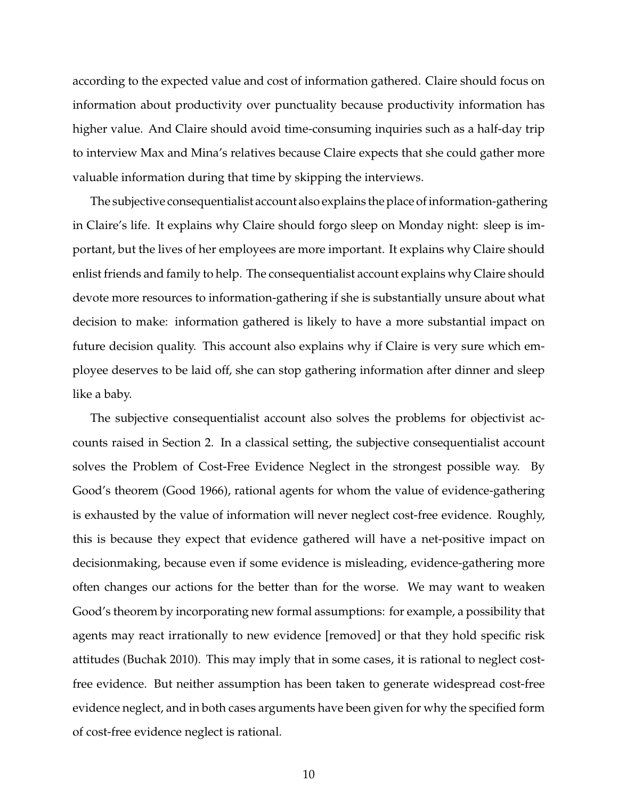according to the expected value and cost of information gathered. Claire should focus on information about productivity over punctuality because productivity information has higher value. And Claire should avoid time-consuming inquiries such as a half-day trip to interview Max and Mina's relatives because Claire expects that she could gather more valuable information during that time by skipping the interviews.

The subjective consequentialist account also explains the place of information-gathering in Claire's life. It explains why Claire should forgo sleep on Monday night: sleep is important, but the lives of her employees are more important. It explains why Claire should enlist friends and family to help. The consequentialist account explains why Claire should devote more resources to information-gathering if she is substantially unsure about what decision to make: information gathered is likely to have a more substantial impact on future decision quality. This account also explains why if Claire is very sure which employee deserves to be laid off, she can stop gathering information after dinner and sleep like a baby.

The subjective consequentialist account also solves the problems for objectivist accounts raised in Section 2. In a classical setting, the subjective consequentialist account solves the Problem of Cost-Free Evidence Neglect in the strongest possible way. By Good's theorem (Good 1966), rational agents for whom the value of evidence-gathering is exhausted by the value of information will never neglect cost-free evidence. Roughly, this is because they expect that evidence gathered will have a net-positive impact on decisionmaking, because even if some evidence is misleading, evidence-gathering more often changes our actions for the better than for the worse. We may want to weaken Good's theorem by incorporating new formal assumptions: for example, a possibility that agents may react irrationally to new evidence [removed] or that they hold specific risk attitudes (Buchak 2010). This may imply that in some cases, it is rational to neglect costfree evidence. But neither assumption has been taken to generate widespread cost-free evidence neglect, and in both cases arguments have been given for why the specified form of cost-free evidence neglect is rational.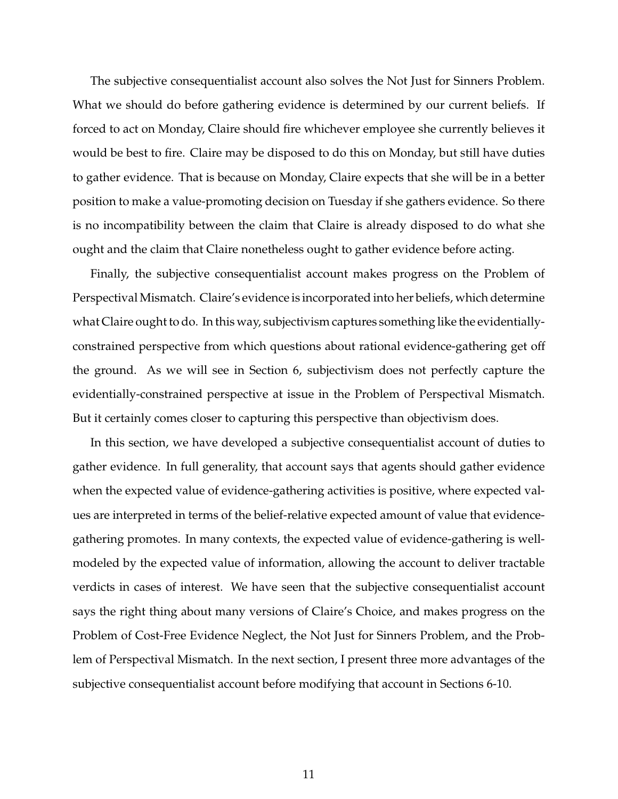The subjective consequentialist account also solves the Not Just for Sinners Problem. What we should do before gathering evidence is determined by our current beliefs. If forced to act on Monday, Claire should fire whichever employee she currently believes it would be best to fire. Claire may be disposed to do this on Monday, but still have duties to gather evidence. That is because on Monday, Claire expects that she will be in a better position to make a value-promoting decision on Tuesday if she gathers evidence. So there is no incompatibility between the claim that Claire is already disposed to do what she ought and the claim that Claire nonetheless ought to gather evidence before acting.

Finally, the subjective consequentialist account makes progress on the Problem of Perspectival Mismatch. Claire's evidence is incorporated into her beliefs, which determine what Claire ought to do. In this way, subjectivism captures something like the evidentiallyconstrained perspective from which questions about rational evidence-gathering get off the ground. As we will see in Section 6, subjectivism does not perfectly capture the evidentially-constrained perspective at issue in the Problem of Perspectival Mismatch. But it certainly comes closer to capturing this perspective than objectivism does.

In this section, we have developed a subjective consequentialist account of duties to gather evidence. In full generality, that account says that agents should gather evidence when the expected value of evidence-gathering activities is positive, where expected values are interpreted in terms of the belief-relative expected amount of value that evidencegathering promotes. In many contexts, the expected value of evidence-gathering is wellmodeled by the expected value of information, allowing the account to deliver tractable verdicts in cases of interest. We have seen that the subjective consequentialist account says the right thing about many versions of Claire's Choice, and makes progress on the Problem of Cost-Free Evidence Neglect, the Not Just for Sinners Problem, and the Problem of Perspectival Mismatch. In the next section, I present three more advantages of the subjective consequentialist account before modifying that account in Sections 6-10.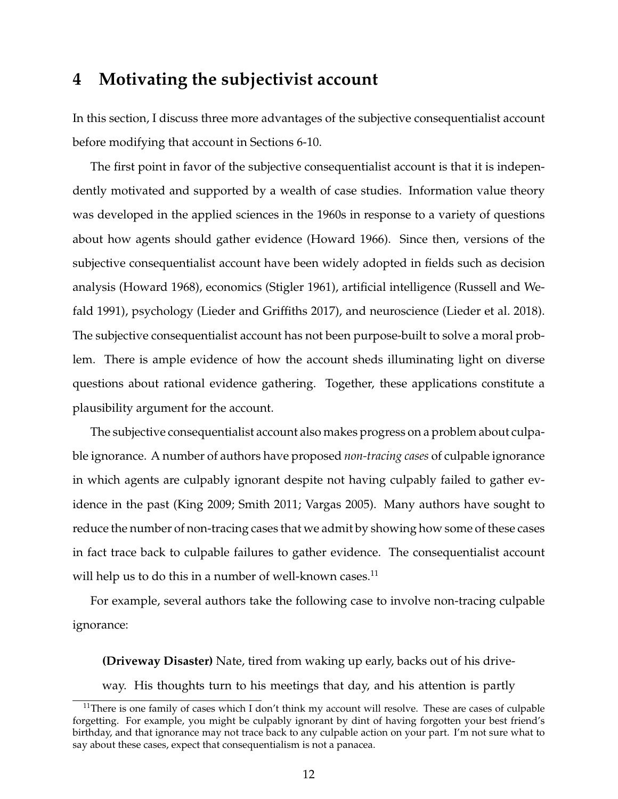### **4 Motivating the subjectivist account**

In this section, I discuss three more advantages of the subjective consequentialist account before modifying that account in Sections 6-10.

The first point in favor of the subjective consequentialist account is that it is independently motivated and supported by a wealth of case studies. Information value theory was developed in the applied sciences in the 1960s in response to a variety of questions about how agents should gather evidence (Howard 1966). Since then, versions of the subjective consequentialist account have been widely adopted in fields such as decision analysis (Howard 1968), economics (Stigler 1961), artificial intelligence (Russell and Wefald 1991), psychology (Lieder and Griffiths 2017), and neuroscience (Lieder et al. 2018). The subjective consequentialist account has not been purpose-built to solve a moral problem. There is ample evidence of how the account sheds illuminating light on diverse questions about rational evidence gathering. Together, these applications constitute a plausibility argument for the account.

The subjective consequentialist account also makes progress on a problem about culpable ignorance. A number of authors have proposed *non-tracing cases* of culpable ignorance in which agents are culpably ignorant despite not having culpably failed to gather evidence in the past (King 2009; Smith 2011; Vargas 2005). Many authors have sought to reduce the number of non-tracing cases that we admit by showing how some of these cases in fact trace back to culpable failures to gather evidence. The consequentialist account will help us to do this in a number of well-known cases. $^{11}$ 

For example, several authors take the following case to involve non-tracing culpable ignorance:

**(Driveway Disaster)** Nate, tired from waking up early, backs out of his driveway. His thoughts turn to his meetings that day, and his attention is partly

 $11$ There is one family of cases which I don't think my account will resolve. These are cases of culpable forgetting. For example, you might be culpably ignorant by dint of having forgotten your best friend's birthday, and that ignorance may not trace back to any culpable action on your part. I'm not sure what to say about these cases, expect that consequentialism is not a panacea.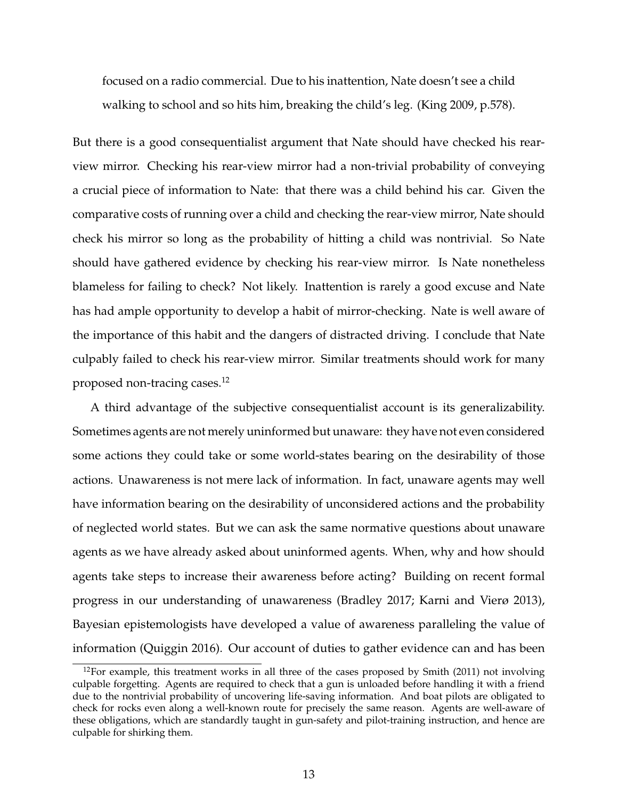focused on a radio commercial. Due to his inattention, Nate doesn't see a child walking to school and so hits him, breaking the child's leg. (King 2009, p.578).

But there is a good consequentialist argument that Nate should have checked his rearview mirror. Checking his rear-view mirror had a non-trivial probability of conveying a crucial piece of information to Nate: that there was a child behind his car. Given the comparative costs of running over a child and checking the rear-view mirror, Nate should check his mirror so long as the probability of hitting a child was nontrivial. So Nate should have gathered evidence by checking his rear-view mirror. Is Nate nonetheless blameless for failing to check? Not likely. Inattention is rarely a good excuse and Nate has had ample opportunity to develop a habit of mirror-checking. Nate is well aware of the importance of this habit and the dangers of distracted driving. I conclude that Nate culpably failed to check his rear-view mirror. Similar treatments should work for many proposed non-tracing cases.<sup>12</sup>

A third advantage of the subjective consequentialist account is its generalizability. Sometimes agents are not merely uninformed but unaware: they have not even considered some actions they could take or some world-states bearing on the desirability of those actions. Unawareness is not mere lack of information. In fact, unaware agents may well have information bearing on the desirability of unconsidered actions and the probability of neglected world states. But we can ask the same normative questions about unaware agents as we have already asked about uninformed agents. When, why and how should agents take steps to increase their awareness before acting? Building on recent formal progress in our understanding of unawareness (Bradley 2017; Karni and Vierø 2013), Bayesian epistemologists have developed a value of awareness paralleling the value of information (Quiggin 2016). Our account of duties to gather evidence can and has been

 $12$ For example, this treatment works in all three of the cases proposed by Smith (2011) not involving culpable forgetting. Agents are required to check that a gun is unloaded before handling it with a friend due to the nontrivial probability of uncovering life-saving information. And boat pilots are obligated to check for rocks even along a well-known route for precisely the same reason. Agents are well-aware of these obligations, which are standardly taught in gun-safety and pilot-training instruction, and hence are culpable for shirking them.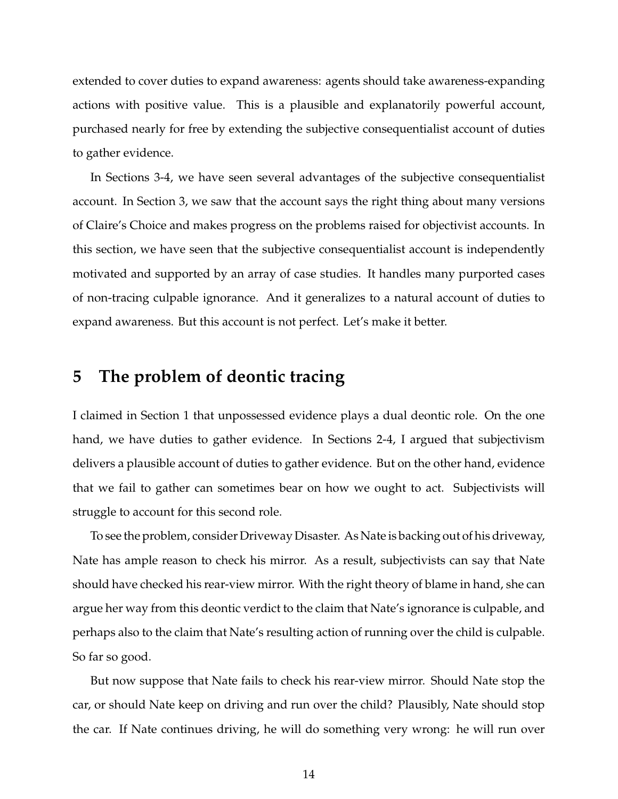extended to cover duties to expand awareness: agents should take awareness-expanding actions with positive value. This is a plausible and explanatorily powerful account, purchased nearly for free by extending the subjective consequentialist account of duties to gather evidence.

In Sections 3-4, we have seen several advantages of the subjective consequentialist account. In Section 3, we saw that the account says the right thing about many versions of Claire's Choice and makes progress on the problems raised for objectivist accounts. In this section, we have seen that the subjective consequentialist account is independently motivated and supported by an array of case studies. It handles many purported cases of non-tracing culpable ignorance. And it generalizes to a natural account of duties to expand awareness. But this account is not perfect. Let's make it better.

### **5 The problem of deontic tracing**

I claimed in Section 1 that unpossessed evidence plays a dual deontic role. On the one hand, we have duties to gather evidence. In Sections 2-4, I argued that subjectivism delivers a plausible account of duties to gather evidence. But on the other hand, evidence that we fail to gather can sometimes bear on how we ought to act. Subjectivists will struggle to account for this second role.

To see the problem, consider Driveway Disaster. As Nate is backing out of his driveway, Nate has ample reason to check his mirror. As a result, subjectivists can say that Nate should have checked his rear-view mirror. With the right theory of blame in hand, she can argue her way from this deontic verdict to the claim that Nate's ignorance is culpable, and perhaps also to the claim that Nate's resulting action of running over the child is culpable. So far so good.

But now suppose that Nate fails to check his rear-view mirror. Should Nate stop the car, or should Nate keep on driving and run over the child? Plausibly, Nate should stop the car. If Nate continues driving, he will do something very wrong: he will run over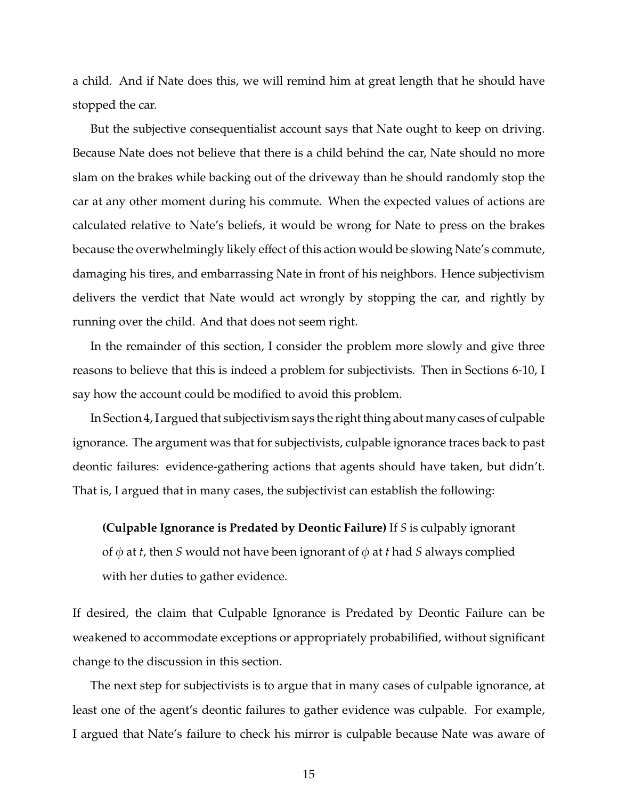a child. And if Nate does this, we will remind him at great length that he should have stopped the car.

But the subjective consequentialist account says that Nate ought to keep on driving. Because Nate does not believe that there is a child behind the car, Nate should no more slam on the brakes while backing out of the driveway than he should randomly stop the car at any other moment during his commute. When the expected values of actions are calculated relative to Nate's beliefs, it would be wrong for Nate to press on the brakes because the overwhelmingly likely effect of this action would be slowing Nate's commute, damaging his tires, and embarrassing Nate in front of his neighbors. Hence subjectivism delivers the verdict that Nate would act wrongly by stopping the car, and rightly by running over the child. And that does not seem right.

In the remainder of this section, I consider the problem more slowly and give three reasons to believe that this is indeed a problem for subjectivists. Then in Sections 6-10, I say how the account could be modified to avoid this problem.

In Section 4, I argued that subjectivism says the right thing about many cases of culpable ignorance. The argument was that for subjectivists, culpable ignorance traces back to past deontic failures: evidence-gathering actions that agents should have taken, but didn't. That is, I argued that in many cases, the subjectivist can establish the following:

**(Culpable Ignorance is Predated by Deontic Failure)** If *S* is culpably ignorant of  $\phi$  at *t*, then *S* would not have been ignorant of  $\phi$  at *t* had *S* always complied with her duties to gather evidence.

If desired, the claim that Culpable Ignorance is Predated by Deontic Failure can be weakened to accommodate exceptions or appropriately probabilified, without significant change to the discussion in this section.

The next step for subjectivists is to argue that in many cases of culpable ignorance, at least one of the agent's deontic failures to gather evidence was culpable. For example, I argued that Nate's failure to check his mirror is culpable because Nate was aware of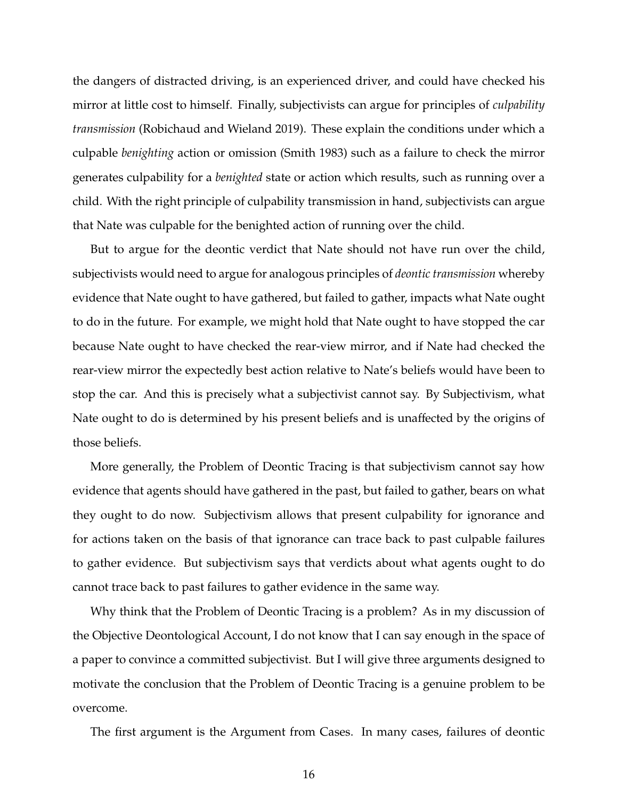the dangers of distracted driving, is an experienced driver, and could have checked his mirror at little cost to himself. Finally, subjectivists can argue for principles of *culpability transmission* (Robichaud and Wieland 2019). These explain the conditions under which a culpable *benighting* action or omission (Smith 1983) such as a failure to check the mirror generates culpability for a *benighted* state or action which results, such as running over a child. With the right principle of culpability transmission in hand, subjectivists can argue that Nate was culpable for the benighted action of running over the child.

But to argue for the deontic verdict that Nate should not have run over the child, subjectivists would need to argue for analogous principles of *deontic transmission* whereby evidence that Nate ought to have gathered, but failed to gather, impacts what Nate ought to do in the future. For example, we might hold that Nate ought to have stopped the car because Nate ought to have checked the rear-view mirror, and if Nate had checked the rear-view mirror the expectedly best action relative to Nate's beliefs would have been to stop the car. And this is precisely what a subjectivist cannot say. By Subjectivism, what Nate ought to do is determined by his present beliefs and is unaffected by the origins of those beliefs.

More generally, the Problem of Deontic Tracing is that subjectivism cannot say how evidence that agents should have gathered in the past, but failed to gather, bears on what they ought to do now. Subjectivism allows that present culpability for ignorance and for actions taken on the basis of that ignorance can trace back to past culpable failures to gather evidence. But subjectivism says that verdicts about what agents ought to do cannot trace back to past failures to gather evidence in the same way.

Why think that the Problem of Deontic Tracing is a problem? As in my discussion of the Objective Deontological Account, I do not know that I can say enough in the space of a paper to convince a committed subjectivist. But I will give three arguments designed to motivate the conclusion that the Problem of Deontic Tracing is a genuine problem to be overcome.

The first argument is the Argument from Cases. In many cases, failures of deontic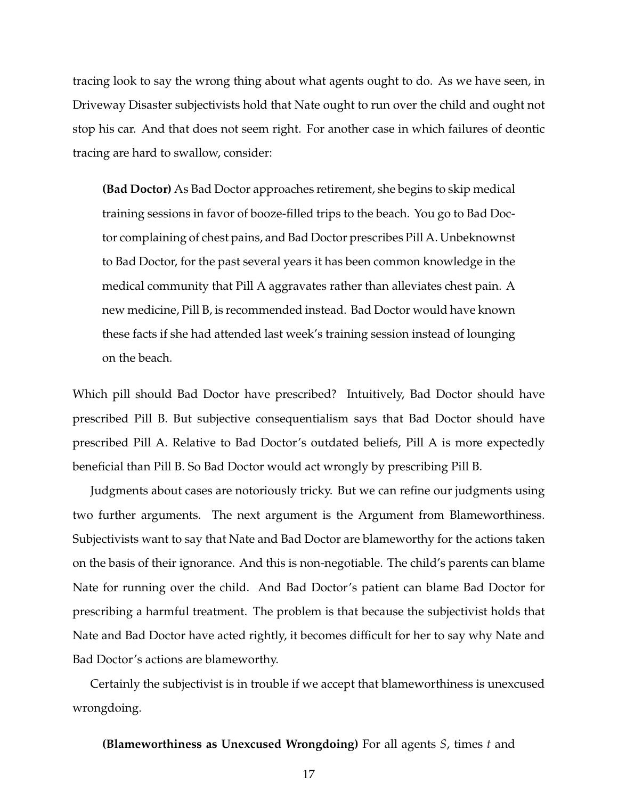tracing look to say the wrong thing about what agents ought to do. As we have seen, in Driveway Disaster subjectivists hold that Nate ought to run over the child and ought not stop his car. And that does not seem right. For another case in which failures of deontic tracing are hard to swallow, consider:

**(Bad Doctor)** As Bad Doctor approaches retirement, she begins to skip medical training sessions in favor of booze-filled trips to the beach. You go to Bad Doctor complaining of chest pains, and Bad Doctor prescribes Pill A. Unbeknownst to Bad Doctor, for the past several years it has been common knowledge in the medical community that Pill A aggravates rather than alleviates chest pain. A new medicine, Pill B, is recommended instead. Bad Doctor would have known these facts if she had attended last week's training session instead of lounging on the beach.

Which pill should Bad Doctor have prescribed? Intuitively, Bad Doctor should have prescribed Pill B. But subjective consequentialism says that Bad Doctor should have prescribed Pill A. Relative to Bad Doctor's outdated beliefs, Pill A is more expectedly beneficial than Pill B. So Bad Doctor would act wrongly by prescribing Pill B.

Judgments about cases are notoriously tricky. But we can refine our judgments using two further arguments. The next argument is the Argument from Blameworthiness. Subjectivists want to say that Nate and Bad Doctor are blameworthy for the actions taken on the basis of their ignorance. And this is non-negotiable. The child's parents can blame Nate for running over the child. And Bad Doctor's patient can blame Bad Doctor for prescribing a harmful treatment. The problem is that because the subjectivist holds that Nate and Bad Doctor have acted rightly, it becomes difficult for her to say why Nate and Bad Doctor's actions are blameworthy.

Certainly the subjectivist is in trouble if we accept that blameworthiness is unexcused wrongdoing.

**(Blameworthiness as Unexcused Wrongdoing)** For all agents *S*, times *t* and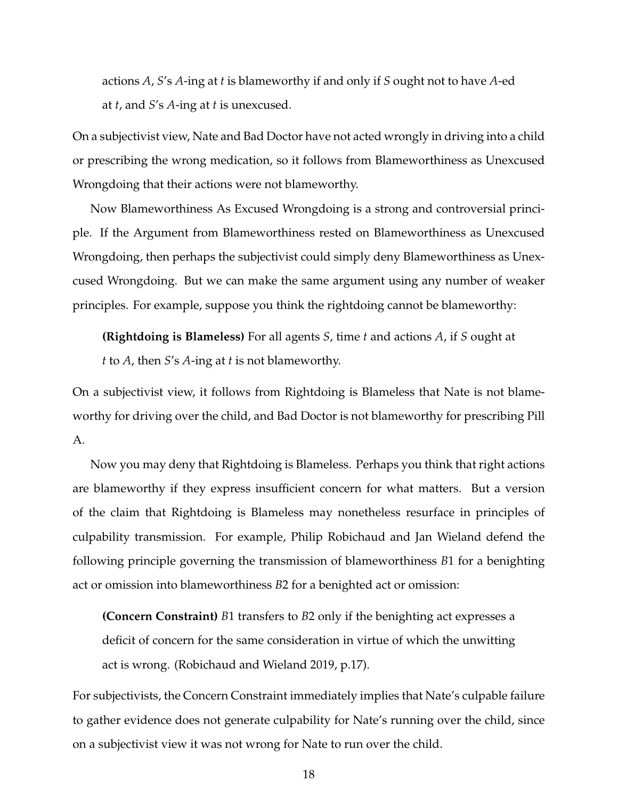actions *A*, *S*'s *A*-ing at *t* is blameworthy if and only if *S* ought not to have *A*-ed at *t*, and *S*'s *A*-ing at *t* is unexcused.

On a subjectivist view, Nate and Bad Doctor have not acted wrongly in driving into a child or prescribing the wrong medication, so it follows from Blameworthiness as Unexcused Wrongdoing that their actions were not blameworthy.

Now Blameworthiness As Excused Wrongdoing is a strong and controversial principle. If the Argument from Blameworthiness rested on Blameworthiness as Unexcused Wrongdoing, then perhaps the subjectivist could simply deny Blameworthiness as Unexcused Wrongdoing. But we can make the same argument using any number of weaker principles. For example, suppose you think the rightdoing cannot be blameworthy:

**(Rightdoing is Blameless)** For all agents *S*, time *t* and actions *A*, if *S* ought at

*t* to *A*, then *S*'s *A*-ing at *t* is not blameworthy.

On a subjectivist view, it follows from Rightdoing is Blameless that Nate is not blameworthy for driving over the child, and Bad Doctor is not blameworthy for prescribing Pill A.

Now you may deny that Rightdoing is Blameless. Perhaps you think that right actions are blameworthy if they express insufficient concern for what matters. But a version of the claim that Rightdoing is Blameless may nonetheless resurface in principles of culpability transmission. For example, Philip Robichaud and Jan Wieland defend the following principle governing the transmission of blameworthiness *B*1 for a benighting act or omission into blameworthiness *B*2 for a benighted act or omission:

**(Concern Constraint)** *B*1 transfers to *B*2 only if the benighting act expresses a deficit of concern for the same consideration in virtue of which the unwitting act is wrong. (Robichaud and Wieland 2019, p.17).

For subjectivists, the Concern Constraint immediately implies that Nate's culpable failure to gather evidence does not generate culpability for Nate's running over the child, since on a subjectivist view it was not wrong for Nate to run over the child.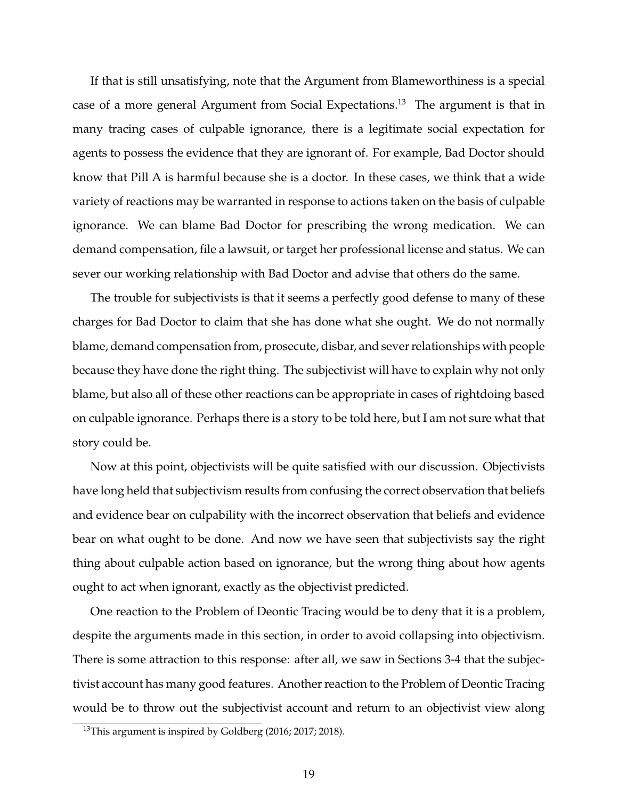If that is still unsatisfying, note that the Argument from Blameworthiness is a special case of a more general Argument from Social Expectations.<sup>13</sup> The argument is that in many tracing cases of culpable ignorance, there is a legitimate social expectation for agents to possess the evidence that they are ignorant of. For example, Bad Doctor should know that Pill A is harmful because she is a doctor. In these cases, we think that a wide variety of reactions may be warranted in response to actions taken on the basis of culpable ignorance. We can blame Bad Doctor for prescribing the wrong medication. We can demand compensation, file a lawsuit, or target her professional license and status. We can sever our working relationship with Bad Doctor and advise that others do the same.

The trouble for subjectivists is that it seems a perfectly good defense to many of these charges for Bad Doctor to claim that she has done what she ought. We do not normally blame, demand compensation from, prosecute, disbar, and sever relationships with people because they have done the right thing. The subjectivist will have to explain why not only blame, but also all of these other reactions can be appropriate in cases of rightdoing based on culpable ignorance. Perhaps there is a story to be told here, but I am not sure what that story could be.

Now at this point, objectivists will be quite satisfied with our discussion. Objectivists have long held that subjectivism results from confusing the correct observation that beliefs and evidence bear on culpability with the incorrect observation that beliefs and evidence bear on what ought to be done. And now we have seen that subjectivists say the right thing about culpable action based on ignorance, but the wrong thing about how agents ought to act when ignorant, exactly as the objectivist predicted.

One reaction to the Problem of Deontic Tracing would be to deny that it is a problem, despite the arguments made in this section, in order to avoid collapsing into objectivism. There is some attraction to this response: after all, we saw in Sections 3-4 that the subjectivist account has many good features. Another reaction to the Problem of Deontic Tracing would be to throw out the subjectivist account and return to an objectivist view along

<sup>&</sup>lt;sup>13</sup>This argument is inspired by Goldberg (2016; 2017; 2018).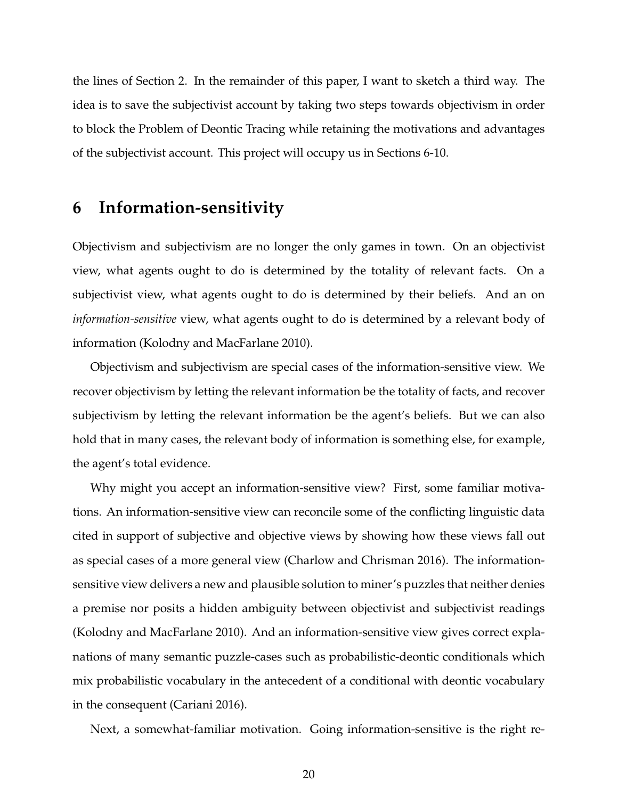the lines of Section 2. In the remainder of this paper, I want to sketch a third way. The idea is to save the subjectivist account by taking two steps towards objectivism in order to block the Problem of Deontic Tracing while retaining the motivations and advantages of the subjectivist account. This project will occupy us in Sections 6-10.

### **6 Information-sensitivity**

Objectivism and subjectivism are no longer the only games in town. On an objectivist view, what agents ought to do is determined by the totality of relevant facts. On a subjectivist view, what agents ought to do is determined by their beliefs. And an on *information-sensitive* view, what agents ought to do is determined by a relevant body of information (Kolodny and MacFarlane 2010).

Objectivism and subjectivism are special cases of the information-sensitive view. We recover objectivism by letting the relevant information be the totality of facts, and recover subjectivism by letting the relevant information be the agent's beliefs. But we can also hold that in many cases, the relevant body of information is something else, for example, the agent's total evidence.

Why might you accept an information-sensitive view? First, some familiar motivations. An information-sensitive view can reconcile some of the conflicting linguistic data cited in support of subjective and objective views by showing how these views fall out as special cases of a more general view (Charlow and Chrisman 2016). The informationsensitive view delivers a new and plausible solution to miner's puzzles that neither denies a premise nor posits a hidden ambiguity between objectivist and subjectivist readings (Kolodny and MacFarlane 2010). And an information-sensitive view gives correct explanations of many semantic puzzle-cases such as probabilistic-deontic conditionals which mix probabilistic vocabulary in the antecedent of a conditional with deontic vocabulary in the consequent (Cariani 2016).

Next, a somewhat-familiar motivation. Going information-sensitive is the right re-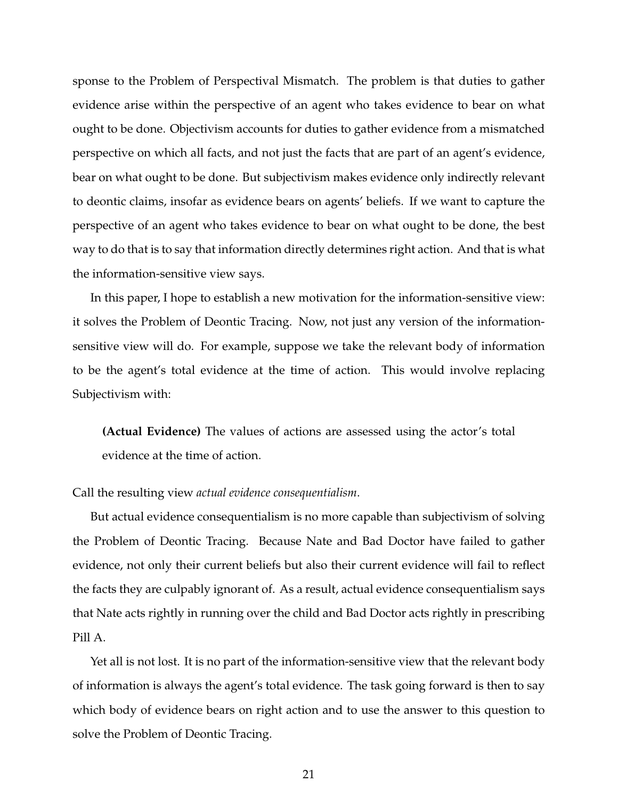sponse to the Problem of Perspectival Mismatch. The problem is that duties to gather evidence arise within the perspective of an agent who takes evidence to bear on what ought to be done. Objectivism accounts for duties to gather evidence from a mismatched perspective on which all facts, and not just the facts that are part of an agent's evidence, bear on what ought to be done. But subjectivism makes evidence only indirectly relevant to deontic claims, insofar as evidence bears on agents' beliefs. If we want to capture the perspective of an agent who takes evidence to bear on what ought to be done, the best way to do that is to say that information directly determines right action. And that is what the information-sensitive view says.

In this paper, I hope to establish a new motivation for the information-sensitive view: it solves the Problem of Deontic Tracing. Now, not just any version of the informationsensitive view will do. For example, suppose we take the relevant body of information to be the agent's total evidence at the time of action. This would involve replacing Subjectivism with:

**(Actual Evidence)** The values of actions are assessed using the actor's total evidence at the time of action.

#### Call the resulting view *actual evidence consequentialism*.

But actual evidence consequentialism is no more capable than subjectivism of solving the Problem of Deontic Tracing. Because Nate and Bad Doctor have failed to gather evidence, not only their current beliefs but also their current evidence will fail to reflect the facts they are culpably ignorant of. As a result, actual evidence consequentialism says that Nate acts rightly in running over the child and Bad Doctor acts rightly in prescribing Pill A.

Yet all is not lost. It is no part of the information-sensitive view that the relevant body of information is always the agent's total evidence. The task going forward is then to say which body of evidence bears on right action and to use the answer to this question to solve the Problem of Deontic Tracing.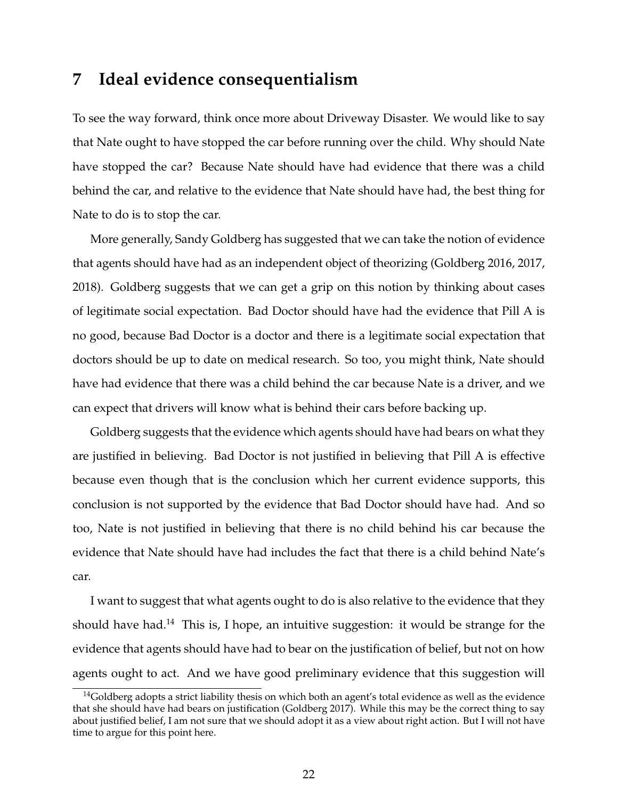### **7 Ideal evidence consequentialism**

To see the way forward, think once more about Driveway Disaster. We would like to say that Nate ought to have stopped the car before running over the child. Why should Nate have stopped the car? Because Nate should have had evidence that there was a child behind the car, and relative to the evidence that Nate should have had, the best thing for Nate to do is to stop the car.

More generally, Sandy Goldberg has suggested that we can take the notion of evidence that agents should have had as an independent object of theorizing (Goldberg 2016, 2017, 2018). Goldberg suggests that we can get a grip on this notion by thinking about cases of legitimate social expectation. Bad Doctor should have had the evidence that Pill A is no good, because Bad Doctor is a doctor and there is a legitimate social expectation that doctors should be up to date on medical research. So too, you might think, Nate should have had evidence that there was a child behind the car because Nate is a driver, and we can expect that drivers will know what is behind their cars before backing up.

Goldberg suggests that the evidence which agents should have had bears on what they are justified in believing. Bad Doctor is not justified in believing that Pill A is effective because even though that is the conclusion which her current evidence supports, this conclusion is not supported by the evidence that Bad Doctor should have had. And so too, Nate is not justified in believing that there is no child behind his car because the evidence that Nate should have had includes the fact that there is a child behind Nate's car.

I want to suggest that what agents ought to do is also relative to the evidence that they should have had.<sup>14</sup> This is, I hope, an intuitive suggestion: it would be strange for the evidence that agents should have had to bear on the justification of belief, but not on how agents ought to act. And we have good preliminary evidence that this suggestion will

 $14$ Goldberg adopts a strict liability thesis on which both an agent's total evidence as well as the evidence that she should have had bears on justification (Goldberg 2017). While this may be the correct thing to say about justified belief, I am not sure that we should adopt it as a view about right action. But I will not have time to argue for this point here.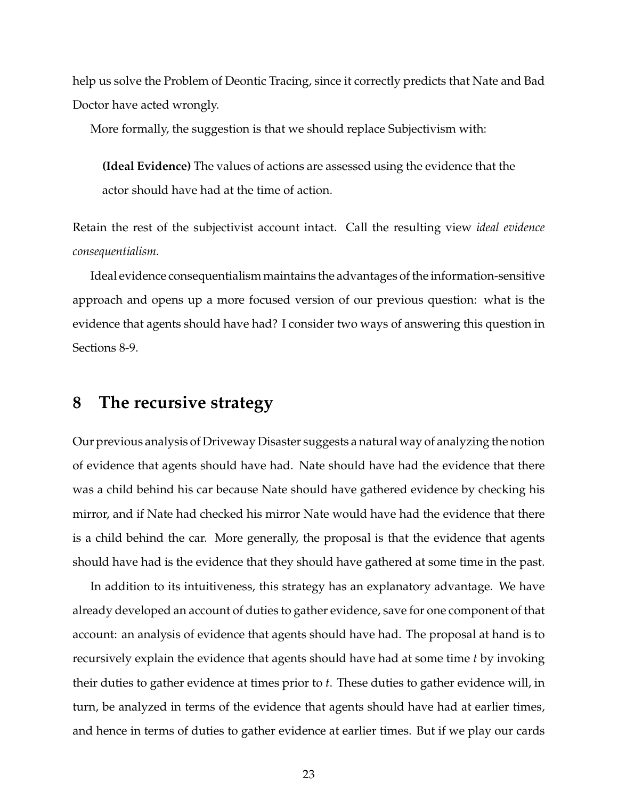help us solve the Problem of Deontic Tracing, since it correctly predicts that Nate and Bad Doctor have acted wrongly.

More formally, the suggestion is that we should replace Subjectivism with:

**(Ideal Evidence)** The values of actions are assessed using the evidence that the actor should have had at the time of action.

Retain the rest of the subjectivist account intact. Call the resulting view *ideal evidence consequentialism*.

Ideal evidence consequentialism maintains the advantages of the information-sensitive approach and opens up a more focused version of our previous question: what is the evidence that agents should have had? I consider two ways of answering this question in Sections 8-9.

## **8 The recursive strategy**

Our previous analysis of Driveway Disaster suggests a natural way of analyzing the notion of evidence that agents should have had. Nate should have had the evidence that there was a child behind his car because Nate should have gathered evidence by checking his mirror, and if Nate had checked his mirror Nate would have had the evidence that there is a child behind the car. More generally, the proposal is that the evidence that agents should have had is the evidence that they should have gathered at some time in the past.

In addition to its intuitiveness, this strategy has an explanatory advantage. We have already developed an account of duties to gather evidence, save for one component of that account: an analysis of evidence that agents should have had. The proposal at hand is to recursively explain the evidence that agents should have had at some time *t* by invoking their duties to gather evidence at times prior to *t*. These duties to gather evidence will, in turn, be analyzed in terms of the evidence that agents should have had at earlier times, and hence in terms of duties to gather evidence at earlier times. But if we play our cards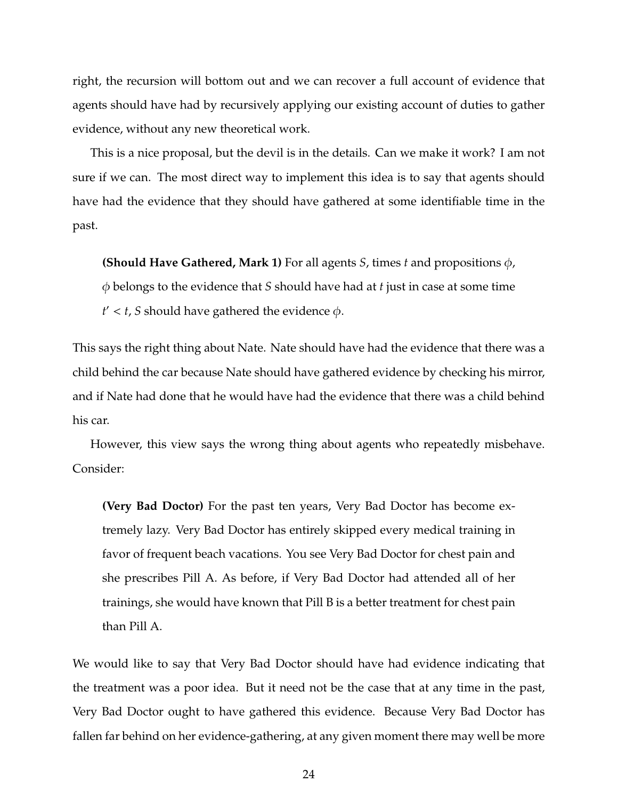right, the recursion will bottom out and we can recover a full account of evidence that agents should have had by recursively applying our existing account of duties to gather evidence, without any new theoretical work.

This is a nice proposal, but the devil is in the details. Can we make it work? I am not sure if we can. The most direct way to implement this idea is to say that agents should have had the evidence that they should have gathered at some identifiable time in the past.

**(Should Have Gathered, Mark 1)** For all agents *S*, times *t* and propositions φ,

φ belongs to the evidence that *S* should have had at *t* just in case at some time  $t' < t$ , *S* should have gathered the evidence  $\phi$ .

This says the right thing about Nate. Nate should have had the evidence that there was a child behind the car because Nate should have gathered evidence by checking his mirror, and if Nate had done that he would have had the evidence that there was a child behind his car.

However, this view says the wrong thing about agents who repeatedly misbehave. Consider:

**(Very Bad Doctor)** For the past ten years, Very Bad Doctor has become extremely lazy. Very Bad Doctor has entirely skipped every medical training in favor of frequent beach vacations. You see Very Bad Doctor for chest pain and she prescribes Pill A. As before, if Very Bad Doctor had attended all of her trainings, she would have known that Pill B is a better treatment for chest pain than Pill A.

We would like to say that Very Bad Doctor should have had evidence indicating that the treatment was a poor idea. But it need not be the case that at any time in the past, Very Bad Doctor ought to have gathered this evidence. Because Very Bad Doctor has fallen far behind on her evidence-gathering, at any given moment there may well be more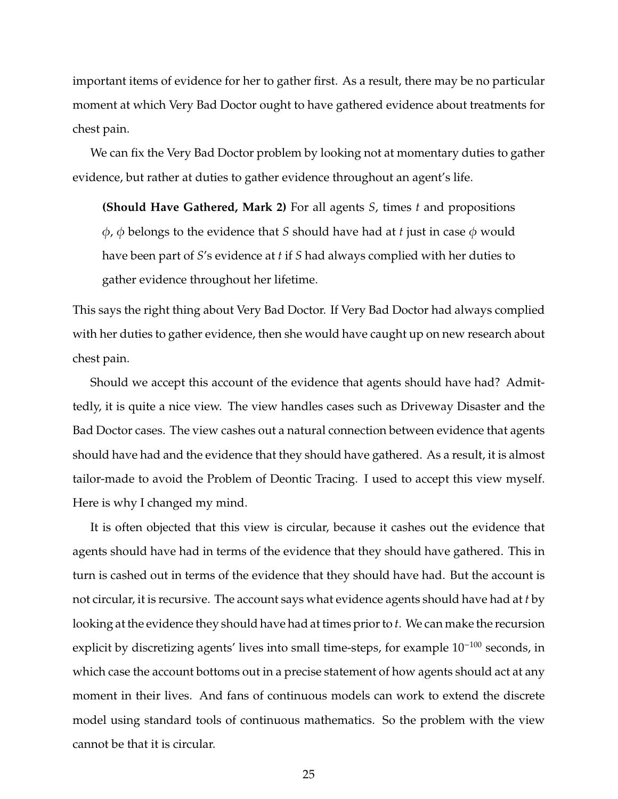important items of evidence for her to gather first. As a result, there may be no particular moment at which Very Bad Doctor ought to have gathered evidence about treatments for chest pain.

We can fix the Very Bad Doctor problem by looking not at momentary duties to gather evidence, but rather at duties to gather evidence throughout an agent's life.

**(Should Have Gathered, Mark 2)** For all agents *S*, times *t* and propositions  $\phi$ ,  $\phi$  belongs to the evidence that *S* should have had at *t* just in case  $\phi$  would have been part of *S*'s evidence at *t* if *S* had always complied with her duties to gather evidence throughout her lifetime.

This says the right thing about Very Bad Doctor. If Very Bad Doctor had always complied with her duties to gather evidence, then she would have caught up on new research about chest pain.

Should we accept this account of the evidence that agents should have had? Admittedly, it is quite a nice view. The view handles cases such as Driveway Disaster and the Bad Doctor cases. The view cashes out a natural connection between evidence that agents should have had and the evidence that they should have gathered. As a result, it is almost tailor-made to avoid the Problem of Deontic Tracing. I used to accept this view myself. Here is why I changed my mind.

It is often objected that this view is circular, because it cashes out the evidence that agents should have had in terms of the evidence that they should have gathered. This in turn is cashed out in terms of the evidence that they should have had. But the account is not circular, it is recursive. The account says what evidence agents should have had at *t* by looking at the evidence they should have had at times prior to *t*. We can make the recursion explicit by discretizing agents' lives into small time-steps, for example  $10^{-100}$  seconds, in which case the account bottoms out in a precise statement of how agents should act at any moment in their lives. And fans of continuous models can work to extend the discrete model using standard tools of continuous mathematics. So the problem with the view cannot be that it is circular.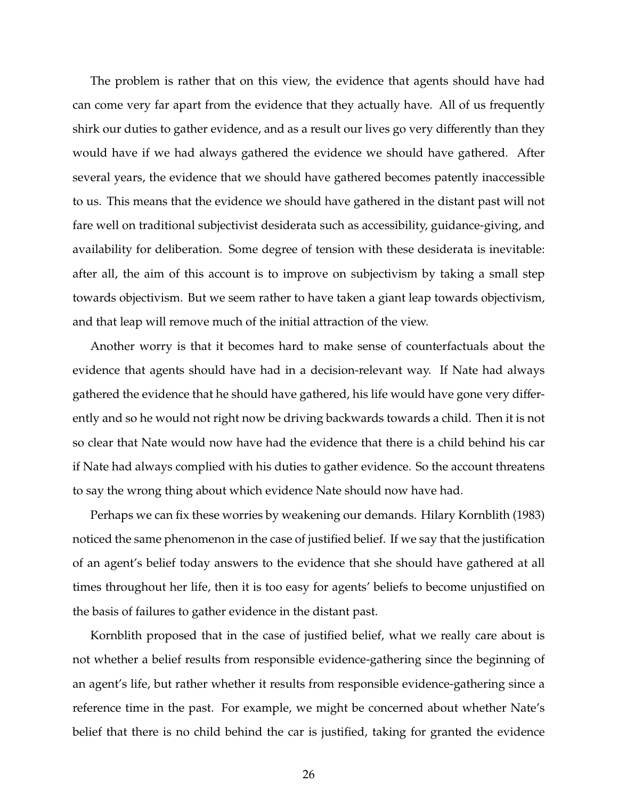The problem is rather that on this view, the evidence that agents should have had can come very far apart from the evidence that they actually have. All of us frequently shirk our duties to gather evidence, and as a result our lives go very differently than they would have if we had always gathered the evidence we should have gathered. After several years, the evidence that we should have gathered becomes patently inaccessible to us. This means that the evidence we should have gathered in the distant past will not fare well on traditional subjectivist desiderata such as accessibility, guidance-giving, and availability for deliberation. Some degree of tension with these desiderata is inevitable: after all, the aim of this account is to improve on subjectivism by taking a small step towards objectivism. But we seem rather to have taken a giant leap towards objectivism, and that leap will remove much of the initial attraction of the view.

Another worry is that it becomes hard to make sense of counterfactuals about the evidence that agents should have had in a decision-relevant way. If Nate had always gathered the evidence that he should have gathered, his life would have gone very differently and so he would not right now be driving backwards towards a child. Then it is not so clear that Nate would now have had the evidence that there is a child behind his car if Nate had always complied with his duties to gather evidence. So the account threatens to say the wrong thing about which evidence Nate should now have had.

Perhaps we can fix these worries by weakening our demands. Hilary Kornblith (1983) noticed the same phenomenon in the case of justified belief. If we say that the justification of an agent's belief today answers to the evidence that she should have gathered at all times throughout her life, then it is too easy for agents' beliefs to become unjustified on the basis of failures to gather evidence in the distant past.

Kornblith proposed that in the case of justified belief, what we really care about is not whether a belief results from responsible evidence-gathering since the beginning of an agent's life, but rather whether it results from responsible evidence-gathering since a reference time in the past. For example, we might be concerned about whether Nate's belief that there is no child behind the car is justified, taking for granted the evidence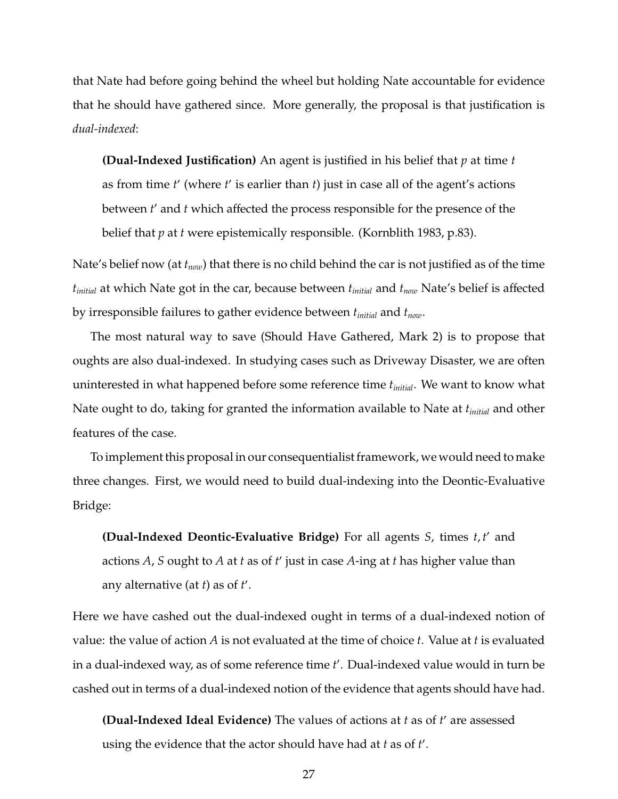that Nate had before going behind the wheel but holding Nate accountable for evidence that he should have gathered since. More generally, the proposal is that justification is *dual-indexed*:

**(Dual-Indexed Justification)** An agent is justified in his belief that *p* at time *t* as from time *t'* (where *t'* is earlier than *t*) just in case all of the agent's actions between *t'* and *t* which affected the process responsible for the presence of the belief that *p* at *t* were epistemically responsible. (Kornblith 1983, p.83).

Nate's belief now (at *tnow*) that there is no child behind the car is not justified as of the time *tinitial* at which Nate got in the car, because between *tinitial* and *tnow* Nate's belief is affected by irresponsible failures to gather evidence between *tinitial* and *tnow*.

The most natural way to save (Should Have Gathered, Mark 2) is to propose that oughts are also dual-indexed. In studying cases such as Driveway Disaster, we are often uninterested in what happened before some reference time *tinitial*. We want to know what Nate ought to do, taking for granted the information available to Nate at *tinitial* and other features of the case.

To implement this proposal in our consequentialist framework, we would need to make three changes. First, we would need to build dual-indexing into the Deontic-Evaluative Bridge:

**(Dual-Indexed Deontic-Evaluative Bridge)** For all agents *S*, times *t*, *t'* and actions *A*, *S* ought to *A* at *t* as of *t'* just in case *A*-ing at *t* has higher value than any alternative (at  $t$ ) as of  $t'$ .

Here we have cashed out the dual-indexed ought in terms of a dual-indexed notion of value: the value of action *A* is not evaluated at the time of choice *t*. Value at *t* is evaluated in a dual-indexed way, as of some reference time *t* 0 . Dual-indexed value would in turn be cashed out in terms of a dual-indexed notion of the evidence that agents should have had.

**(Dual-Indexed Ideal Evidence)** The values of actions at *t* as of *t'* are assessed using the evidence that the actor should have had at *t* as of *t* 0 .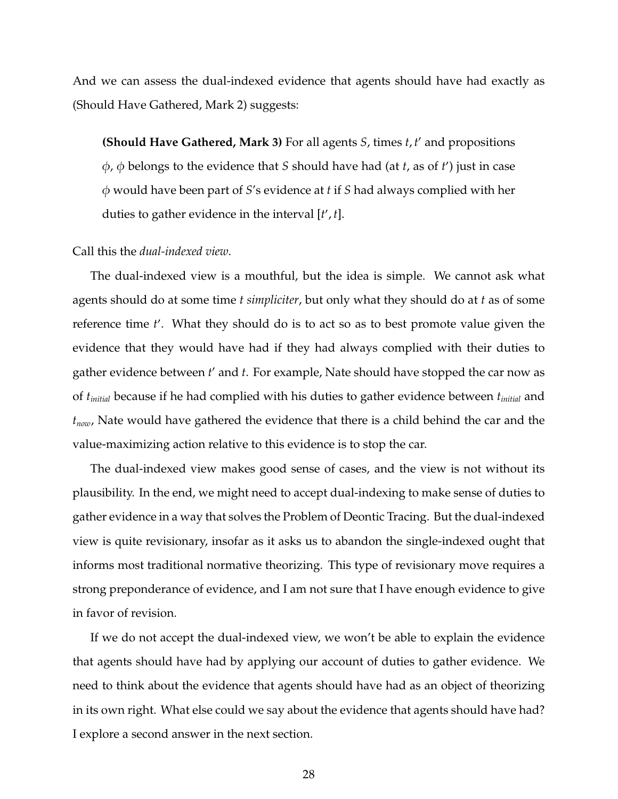And we can assess the dual-indexed evidence that agents should have had exactly as (Should Have Gathered, Mark 2) suggests:

**(Should Have Gathered, Mark 3)** For all agents *S*, times *t*, *t'* and propositions φ, φ belongs to the evidence that *S* should have had (at *t*, as of *t* 0 ) just in case φ would have been part of *S*'s evidence at *t* if *S* had always complied with her duties to gather evidence in the interval [*t'*,*t*].

#### Call this the *dual-indexed view*.

The dual-indexed view is a mouthful, but the idea is simple. We cannot ask what agents should do at some time *t simpliciter*, but only what they should do at *t* as of some reference time *t'*. What they should do is to act so as to best promote value given the evidence that they would have had if they had always complied with their duties to gather evidence between *t'* and *t*. For example, Nate should have stopped the car now as of *tinitial* because if he had complied with his duties to gather evidence between *tinitial* and *tnow*, Nate would have gathered the evidence that there is a child behind the car and the value-maximizing action relative to this evidence is to stop the car.

The dual-indexed view makes good sense of cases, and the view is not without its plausibility. In the end, we might need to accept dual-indexing to make sense of duties to gather evidence in a way that solves the Problem of Deontic Tracing. But the dual-indexed view is quite revisionary, insofar as it asks us to abandon the single-indexed ought that informs most traditional normative theorizing. This type of revisionary move requires a strong preponderance of evidence, and I am not sure that I have enough evidence to give in favor of revision.

If we do not accept the dual-indexed view, we won't be able to explain the evidence that agents should have had by applying our account of duties to gather evidence. We need to think about the evidence that agents should have had as an object of theorizing in its own right. What else could we say about the evidence that agents should have had? I explore a second answer in the next section.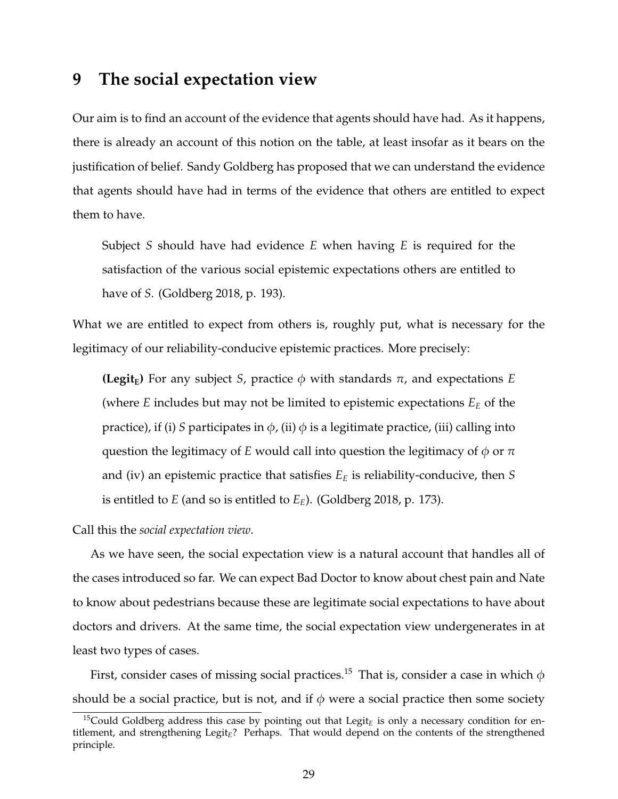### **9 The social expectation view**

Our aim is to find an account of the evidence that agents should have had. As it happens, there is already an account of this notion on the table, at least insofar as it bears on the justification of belief. Sandy Goldberg has proposed that we can understand the evidence that agents should have had in terms of the evidence that others are entitled to expect them to have.

Subject *S* should have had evidence *E* when having *E* is required for the satisfaction of the various social epistemic expectations others are entitled to have of *S*. (Goldberg 2018, p. 193).

What we are entitled to expect from others is, roughly put, what is necessary for the legitimacy of our reliability-conducive epistemic practices. More precisely:

**(Legit<sub>E</sub>)** For any subject *S*, practice  $\phi$  with standards  $\pi$ , and expectations *E* (where *E* includes but may not be limited to epistemic expectations *E<sup>E</sup>* of the practice), if (i) *S* participates in  $\phi$ , (ii)  $\phi$  is a legitimate practice, (iii) calling into question the legitimacy of *E* would call into question the legitimacy of  $\phi$  or  $\pi$ and (iv) an epistemic practice that satisfies *E<sup>E</sup>* is reliability-conducive, then *S* is entitled to *E* (and so is entitled to *EE*). (Goldberg 2018, p. 173).

Call this the *social expectation view*.

As we have seen, the social expectation view is a natural account that handles all of the cases introduced so far. We can expect Bad Doctor to know about chest pain and Nate to know about pedestrians because these are legitimate social expectations to have about doctors and drivers. At the same time, the social expectation view undergenerates in at least two types of cases.

First, consider cases of missing social practices.<sup>15</sup> That is, consider a case in which  $\phi$ should be a social practice, but is not, and if  $\phi$  were a social practice then some society

<sup>&</sup>lt;sup>15</sup>Could Goldberg address this case by pointing out that Legit<sub>E</sub> is only a necessary condition for entitlement, and strengthening Legit*E*? Perhaps. That would depend on the contents of the strengthened principle.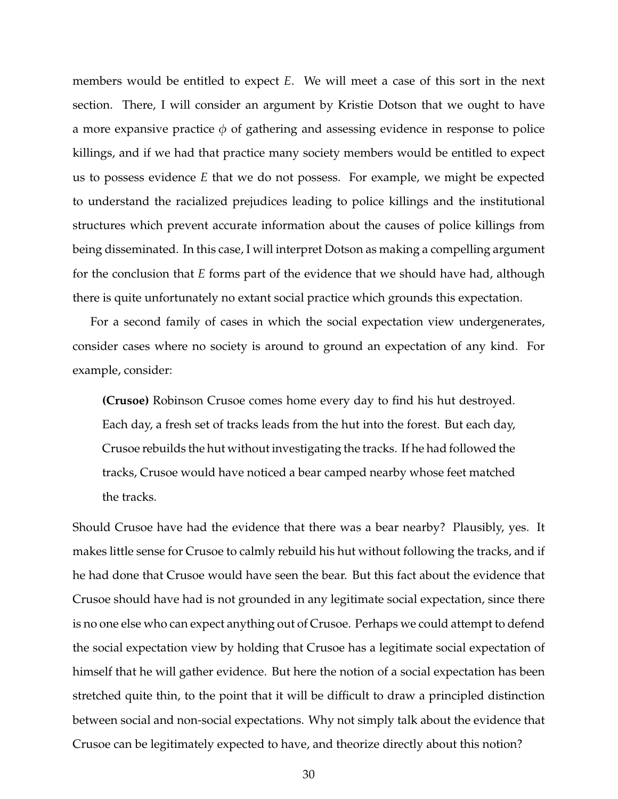members would be entitled to expect *E*. We will meet a case of this sort in the next section. There, I will consider an argument by Kristie Dotson that we ought to have a more expansive practice  $\phi$  of gathering and assessing evidence in response to police killings, and if we had that practice many society members would be entitled to expect us to possess evidence *E* that we do not possess. For example, we might be expected to understand the racialized prejudices leading to police killings and the institutional structures which prevent accurate information about the causes of police killings from being disseminated. In this case, I will interpret Dotson as making a compelling argument for the conclusion that *E* forms part of the evidence that we should have had, although there is quite unfortunately no extant social practice which grounds this expectation.

For a second family of cases in which the social expectation view undergenerates, consider cases where no society is around to ground an expectation of any kind. For example, consider:

**(Crusoe)** Robinson Crusoe comes home every day to find his hut destroyed. Each day, a fresh set of tracks leads from the hut into the forest. But each day, Crusoe rebuilds the hut without investigating the tracks. If he had followed the tracks, Crusoe would have noticed a bear camped nearby whose feet matched the tracks.

Should Crusoe have had the evidence that there was a bear nearby? Plausibly, yes. It makes little sense for Crusoe to calmly rebuild his hut without following the tracks, and if he had done that Crusoe would have seen the bear. But this fact about the evidence that Crusoe should have had is not grounded in any legitimate social expectation, since there is no one else who can expect anything out of Crusoe. Perhaps we could attempt to defend the social expectation view by holding that Crusoe has a legitimate social expectation of himself that he will gather evidence. But here the notion of a social expectation has been stretched quite thin, to the point that it will be difficult to draw a principled distinction between social and non-social expectations. Why not simply talk about the evidence that Crusoe can be legitimately expected to have, and theorize directly about this notion?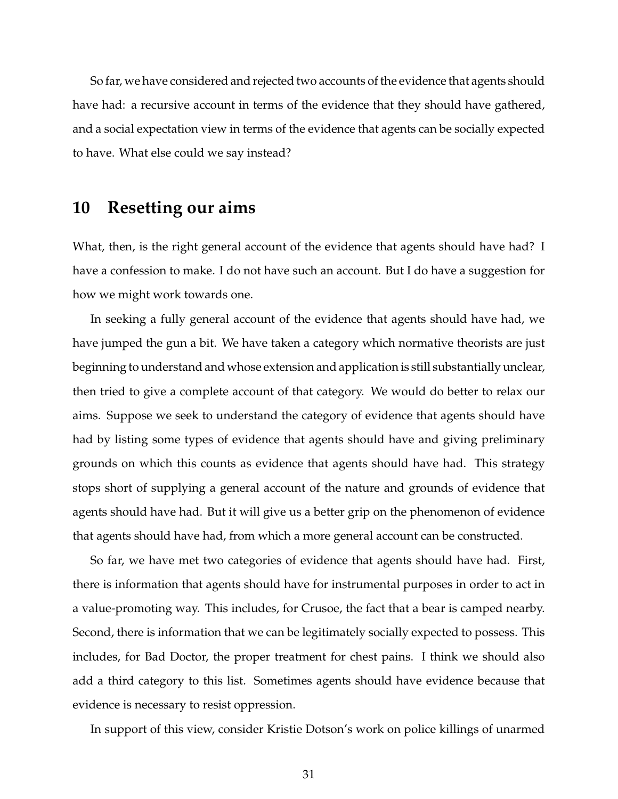So far, we have considered and rejected two accounts of the evidence that agents should have had: a recursive account in terms of the evidence that they should have gathered, and a social expectation view in terms of the evidence that agents can be socially expected to have. What else could we say instead?

### **10 Resetting our aims**

What, then, is the right general account of the evidence that agents should have had? I have a confession to make. I do not have such an account. But I do have a suggestion for how we might work towards one.

In seeking a fully general account of the evidence that agents should have had, we have jumped the gun a bit. We have taken a category which normative theorists are just beginning to understand and whose extension and application is still substantially unclear, then tried to give a complete account of that category. We would do better to relax our aims. Suppose we seek to understand the category of evidence that agents should have had by listing some types of evidence that agents should have and giving preliminary grounds on which this counts as evidence that agents should have had. This strategy stops short of supplying a general account of the nature and grounds of evidence that agents should have had. But it will give us a better grip on the phenomenon of evidence that agents should have had, from which a more general account can be constructed.

So far, we have met two categories of evidence that agents should have had. First, there is information that agents should have for instrumental purposes in order to act in a value-promoting way. This includes, for Crusoe, the fact that a bear is camped nearby. Second, there is information that we can be legitimately socially expected to possess. This includes, for Bad Doctor, the proper treatment for chest pains. I think we should also add a third category to this list. Sometimes agents should have evidence because that evidence is necessary to resist oppression.

In support of this view, consider Kristie Dotson's work on police killings of unarmed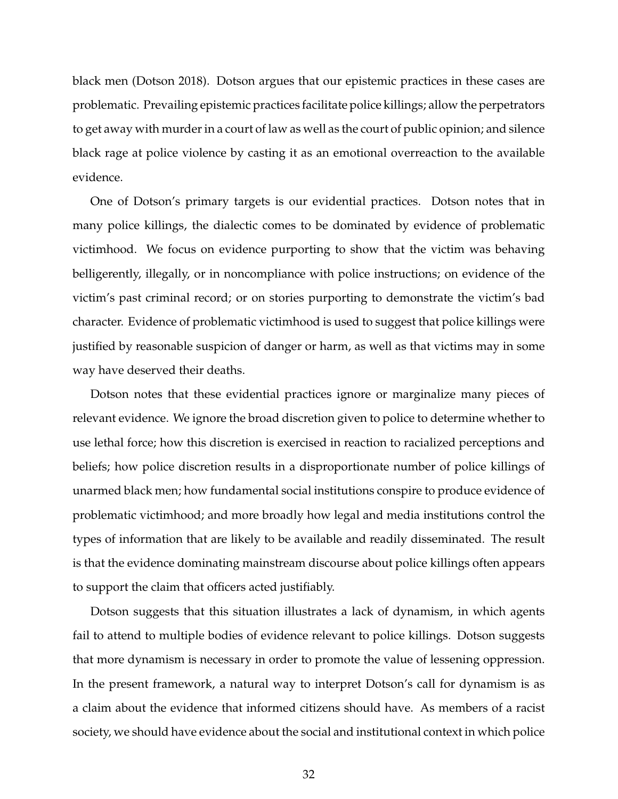black men (Dotson 2018). Dotson argues that our epistemic practices in these cases are problematic. Prevailing epistemic practices facilitate police killings; allow the perpetrators to get away with murder in a court of law as well as the court of public opinion; and silence black rage at police violence by casting it as an emotional overreaction to the available evidence.

One of Dotson's primary targets is our evidential practices. Dotson notes that in many police killings, the dialectic comes to be dominated by evidence of problematic victimhood. We focus on evidence purporting to show that the victim was behaving belligerently, illegally, or in noncompliance with police instructions; on evidence of the victim's past criminal record; or on stories purporting to demonstrate the victim's bad character. Evidence of problematic victimhood is used to suggest that police killings were justified by reasonable suspicion of danger or harm, as well as that victims may in some way have deserved their deaths.

Dotson notes that these evidential practices ignore or marginalize many pieces of relevant evidence. We ignore the broad discretion given to police to determine whether to use lethal force; how this discretion is exercised in reaction to racialized perceptions and beliefs; how police discretion results in a disproportionate number of police killings of unarmed black men; how fundamental social institutions conspire to produce evidence of problematic victimhood; and more broadly how legal and media institutions control the types of information that are likely to be available and readily disseminated. The result is that the evidence dominating mainstream discourse about police killings often appears to support the claim that officers acted justifiably.

Dotson suggests that this situation illustrates a lack of dynamism, in which agents fail to attend to multiple bodies of evidence relevant to police killings. Dotson suggests that more dynamism is necessary in order to promote the value of lessening oppression. In the present framework, a natural way to interpret Dotson's call for dynamism is as a claim about the evidence that informed citizens should have. As members of a racist society, we should have evidence about the social and institutional context in which police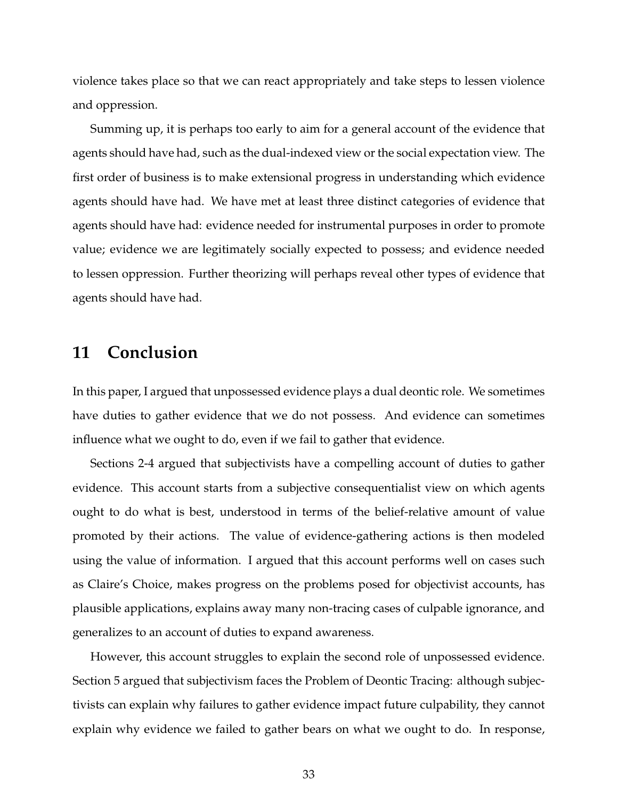violence takes place so that we can react appropriately and take steps to lessen violence and oppression.

Summing up, it is perhaps too early to aim for a general account of the evidence that agents should have had, such as the dual-indexed view or the social expectation view. The first order of business is to make extensional progress in understanding which evidence agents should have had. We have met at least three distinct categories of evidence that agents should have had: evidence needed for instrumental purposes in order to promote value; evidence we are legitimately socially expected to possess; and evidence needed to lessen oppression. Further theorizing will perhaps reveal other types of evidence that agents should have had.

### **11 Conclusion**

In this paper, I argued that unpossessed evidence plays a dual deontic role. We sometimes have duties to gather evidence that we do not possess. And evidence can sometimes influence what we ought to do, even if we fail to gather that evidence.

Sections 2-4 argued that subjectivists have a compelling account of duties to gather evidence. This account starts from a subjective consequentialist view on which agents ought to do what is best, understood in terms of the belief-relative amount of value promoted by their actions. The value of evidence-gathering actions is then modeled using the value of information. I argued that this account performs well on cases such as Claire's Choice, makes progress on the problems posed for objectivist accounts, has plausible applications, explains away many non-tracing cases of culpable ignorance, and generalizes to an account of duties to expand awareness.

However, this account struggles to explain the second role of unpossessed evidence. Section 5 argued that subjectivism faces the Problem of Deontic Tracing: although subjectivists can explain why failures to gather evidence impact future culpability, they cannot explain why evidence we failed to gather bears on what we ought to do. In response,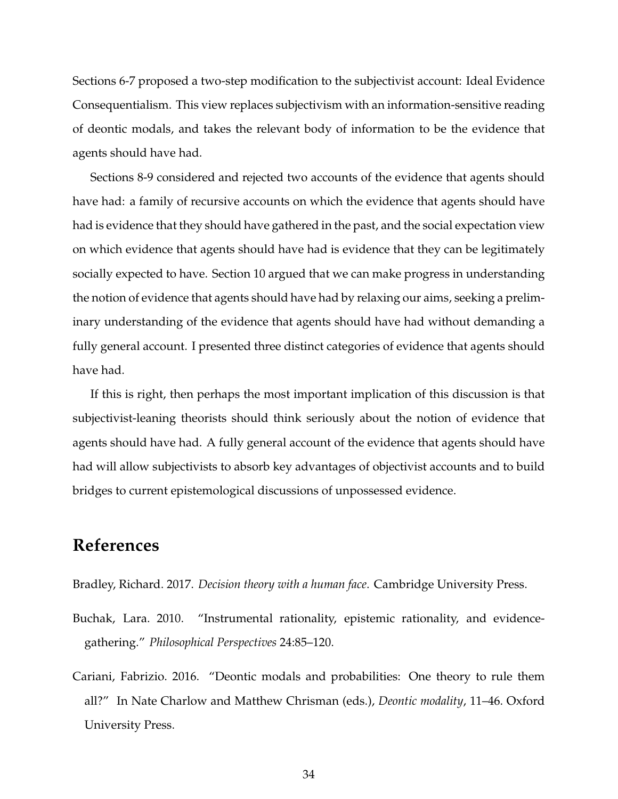Sections 6-7 proposed a two-step modification to the subjectivist account: Ideal Evidence Consequentialism. This view replaces subjectivism with an information-sensitive reading of deontic modals, and takes the relevant body of information to be the evidence that agents should have had.

Sections 8-9 considered and rejected two accounts of the evidence that agents should have had: a family of recursive accounts on which the evidence that agents should have had is evidence that they should have gathered in the past, and the social expectation view on which evidence that agents should have had is evidence that they can be legitimately socially expected to have. Section 10 argued that we can make progress in understanding the notion of evidence that agents should have had by relaxing our aims, seeking a preliminary understanding of the evidence that agents should have had without demanding a fully general account. I presented three distinct categories of evidence that agents should have had.

If this is right, then perhaps the most important implication of this discussion is that subjectivist-leaning theorists should think seriously about the notion of evidence that agents should have had. A fully general account of the evidence that agents should have had will allow subjectivists to absorb key advantages of objectivist accounts and to build bridges to current epistemological discussions of unpossessed evidence.

### **References**

Bradley, Richard. 2017. *Decision theory with a human face*. Cambridge University Press.

- Buchak, Lara. 2010. "Instrumental rationality, epistemic rationality, and evidencegathering." *Philosophical Perspectives* 24:85–120.
- Cariani, Fabrizio. 2016. "Deontic modals and probabilities: One theory to rule them all?" In Nate Charlow and Matthew Chrisman (eds.), *Deontic modality*, 11–46. Oxford University Press.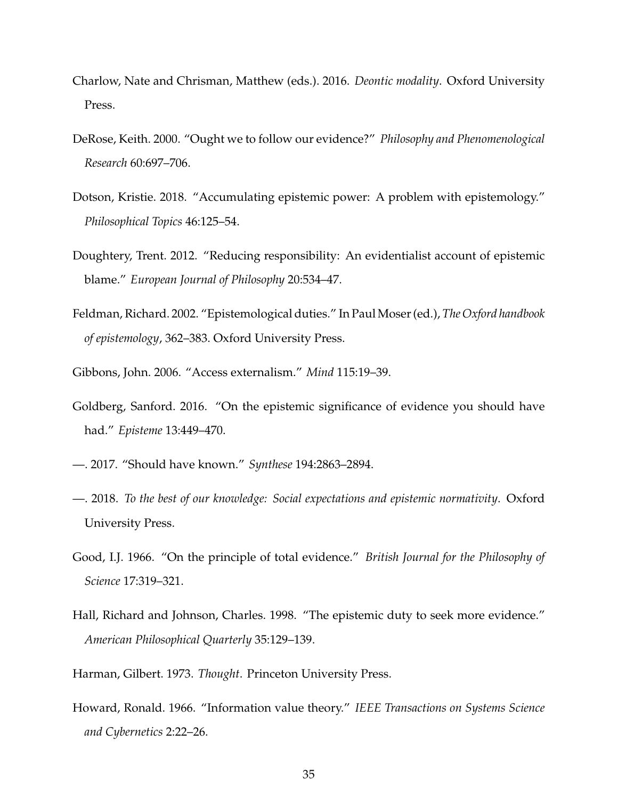- Charlow, Nate and Chrisman, Matthew (eds.). 2016. *Deontic modality*. Oxford University Press.
- DeRose, Keith. 2000. "Ought we to follow our evidence?" *Philosophy and Phenomenological Research* 60:697–706.
- Dotson, Kristie. 2018. "Accumulating epistemic power: A problem with epistemology." *Philosophical Topics* 46:125–54.
- Doughtery, Trent. 2012. "Reducing responsibility: An evidentialist account of epistemic blame." *European Journal of Philosophy* 20:534–47.
- Feldman, Richard. 2002. "Epistemological duties." In PaulMoser (ed.), *The Oxford handbook of epistemology*, 362–383. Oxford University Press.
- Gibbons, John. 2006. "Access externalism." *Mind* 115:19–39.
- Goldberg, Sanford. 2016. "On the epistemic significance of evidence you should have had." *Episteme* 13:449–470.
- —. 2017. "Should have known." *Synthese* 194:2863–2894.
- —. 2018. *To the best of our knowledge: Social expectations and epistemic normativity*. Oxford University Press.
- Good, I.J. 1966. "On the principle of total evidence." *British Journal for the Philosophy of Science* 17:319–321.
- Hall, Richard and Johnson, Charles. 1998. "The epistemic duty to seek more evidence." *American Philosophical Quarterly* 35:129–139.
- Harman, Gilbert. 1973. *Thought*. Princeton University Press.
- Howard, Ronald. 1966. "Information value theory." *IEEE Transactions on Systems Science and Cybernetics* 2:22–26.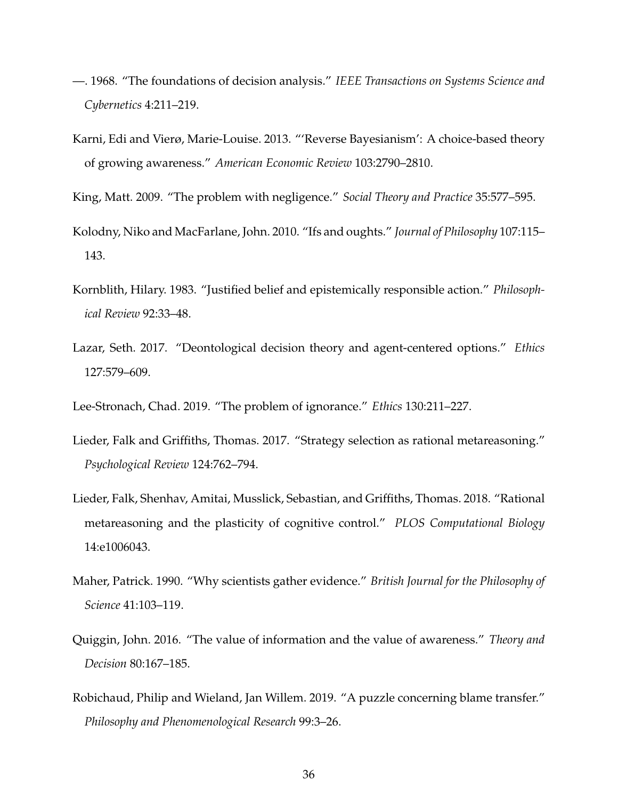- —. 1968. "The foundations of decision analysis." *IEEE Transactions on Systems Science and Cybernetics* 4:211–219.
- Karni, Edi and Vierø, Marie-Louise. 2013. "'Reverse Bayesianism': A choice-based theory of growing awareness." *American Economic Review* 103:2790–2810.
- King, Matt. 2009. "The problem with negligence." *Social Theory and Practice* 35:577–595.
- Kolodny, Niko and MacFarlane, John. 2010. "Ifs and oughts." *Journal of Philosophy* 107:115– 143.
- Kornblith, Hilary. 1983. "Justified belief and epistemically responsible action." *Philosophical Review* 92:33–48.
- Lazar, Seth. 2017. "Deontological decision theory and agent-centered options." *Ethics* 127:579–609.
- Lee-Stronach, Chad. 2019. "The problem of ignorance." *Ethics* 130:211–227.
- Lieder, Falk and Griffiths, Thomas. 2017. "Strategy selection as rational metareasoning." *Psychological Review* 124:762–794.
- Lieder, Falk, Shenhav, Amitai, Musslick, Sebastian, and Griffiths, Thomas. 2018. "Rational metareasoning and the plasticity of cognitive control." *PLOS Computational Biology* 14:e1006043.
- Maher, Patrick. 1990. "Why scientists gather evidence." *British Journal for the Philosophy of Science* 41:103–119.
- Quiggin, John. 2016. "The value of information and the value of awareness." *Theory and Decision* 80:167–185.
- Robichaud, Philip and Wieland, Jan Willem. 2019. "A puzzle concerning blame transfer." *Philosophy and Phenomenological Research* 99:3–26.